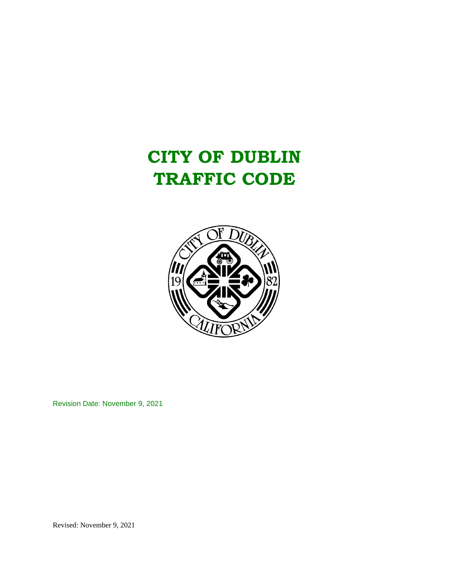

Revision Date: November 9, 2021

Revised: November 9, 2021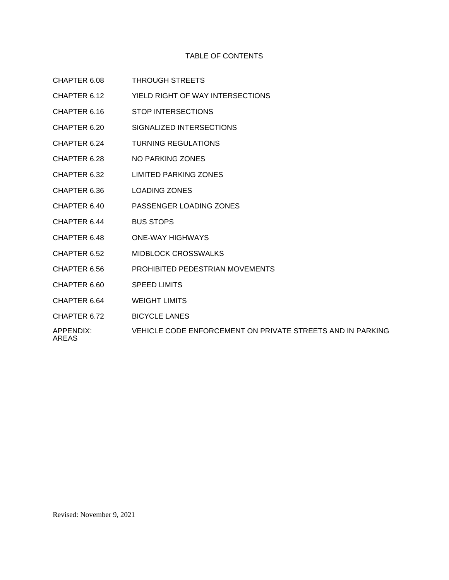# TABLE OF CONTENTS

- CHAPTER 6.08 THROUGH STREETS
- CHAPTER 6.12 YIELD RIGHT OF WAY INTERSECTIONS
- CHAPTER 6.16 STOP INTERSECTIONS
- CHAPTER 6.20 SIGNALIZED INTERSECTIONS
- CHAPTER 6.24 TURNING REGULATIONS
- CHAPTER 6.28 NO PARKING ZONES
- CHAPTER 6.32 LIMITED PARKING ZONES
- CHAPTER 6.36 LOADING ZONES
- CHAPTER 6.40 PASSENGER LOADING ZONES
- CHAPTER 6.44 BUS STOPS
- CHAPTER 6.48 ONE-WAY HIGHWAYS
- CHAPTER 6.52 MIDBLOCK CROSSWALKS
- CHAPTER 6.56 PROHIBITED PEDESTRIAN MOVEMENTS
- CHAPTER 6.60 SPEED LIMITS
- CHAPTER 6.64 WEIGHT LIMITS
- CHAPTER 6.72 BICYCLE LANES
- APPENDIX: VEHICLE CODE ENFORCEMENT ON PRIVATE STREETS AND IN PARKING

AREAS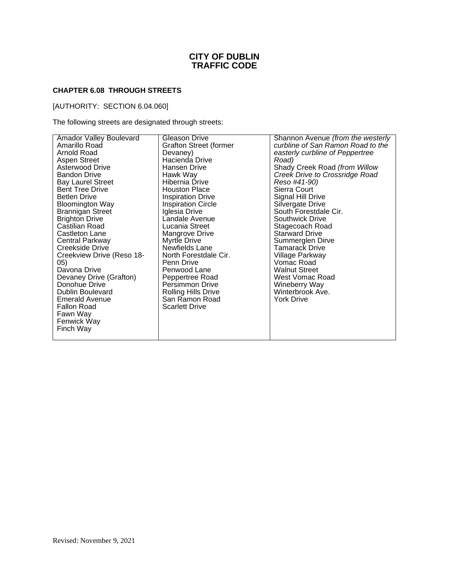# **CHAPTER 6.08 THROUGH STREETS**

# [AUTHORITY: SECTION 6.04.060]

The following streets are designated through streets:

| <b>Amador Valley Boulevard</b>                                                                                                                                                                                                                       | Gleason Drive                                                                                                                                                                                                      | Shannon Avenue (from the westerly                                                                                                                                        |
|------------------------------------------------------------------------------------------------------------------------------------------------------------------------------------------------------------------------------------------------------|--------------------------------------------------------------------------------------------------------------------------------------------------------------------------------------------------------------------|--------------------------------------------------------------------------------------------------------------------------------------------------------------------------|
| Amarillo Road                                                                                                                                                                                                                                        | <b>Grafton Street (former</b>                                                                                                                                                                                      | curbline of San Ramon Road to the                                                                                                                                        |
| Arnold Road                                                                                                                                                                                                                                          | Devaney)                                                                                                                                                                                                           | easterly curbline of Peppertree                                                                                                                                          |
| <b>Aspen Street</b>                                                                                                                                                                                                                                  | Hacienda Drive                                                                                                                                                                                                     | Road)                                                                                                                                                                    |
| Asterwood Drive                                                                                                                                                                                                                                      | Hansen Drive                                                                                                                                                                                                       | Shady Creek Road (from Willow                                                                                                                                            |
| <b>Bandon Drive</b>                                                                                                                                                                                                                                  | Hawk Way                                                                                                                                                                                                           | Creek Drive to Crossridge Road                                                                                                                                           |
| <b>Bay Laurel Street</b>                                                                                                                                                                                                                             | Hibernia Drive                                                                                                                                                                                                     | Reso #41-90)                                                                                                                                                             |
| <b>Bent Tree Drive</b>                                                                                                                                                                                                                               | <b>Houston Place</b>                                                                                                                                                                                               | Sierra Court                                                                                                                                                             |
| <b>Betlen Drive</b>                                                                                                                                                                                                                                  | <b>Inspiration Drive</b>                                                                                                                                                                                           | Signal Hill Drive                                                                                                                                                        |
| <b>Bloomington Way</b>                                                                                                                                                                                                                               | <b>Inspiration Circle</b>                                                                                                                                                                                          | Silvergate Drive                                                                                                                                                         |
| Brannigan Street                                                                                                                                                                                                                                     | Iglesia Drive                                                                                                                                                                                                      | South Forestdale Cir.                                                                                                                                                    |
| <b>Brighton Drive</b>                                                                                                                                                                                                                                | Landale Avenue                                                                                                                                                                                                     | Southwick Drive                                                                                                                                                          |
| Castilian Road                                                                                                                                                                                                                                       | Lucania Street                                                                                                                                                                                                     | Stagecoach Road                                                                                                                                                          |
| Castleton Lane                                                                                                                                                                                                                                       | Mangrove Drive                                                                                                                                                                                                     | <b>Starward Drive</b>                                                                                                                                                    |
| Central Parkway<br>Creekside Drive<br>Creekview Drive (Reso 18-<br>05)<br>Davona Drive<br>Devaney Drive (Grafton)<br>Donohue Drive<br><b>Dublin Boulevard</b><br><b>Emerald Avenue</b><br><b>Fallon Road</b><br>Fawn Way<br>Fenwick Way<br>Finch Way | <b>Myrtle Drive</b><br>Newfields Lane<br>North Forestdale Cir.<br>Penn Drive<br>Penwood Lane<br>Peppertree Road<br><b>Persimmon Drive</b><br><b>Rolling Hills Drive</b><br>San Ramon Road<br><b>Scarlett Drive</b> | Summerglen Dirve<br>Tamarack Drive<br>Village Parkway<br>Vomac Road<br><b>Walnut Street</b><br>West Vomac Road<br>Wineberry Way<br>Winterbrook Ave.<br><b>York Drive</b> |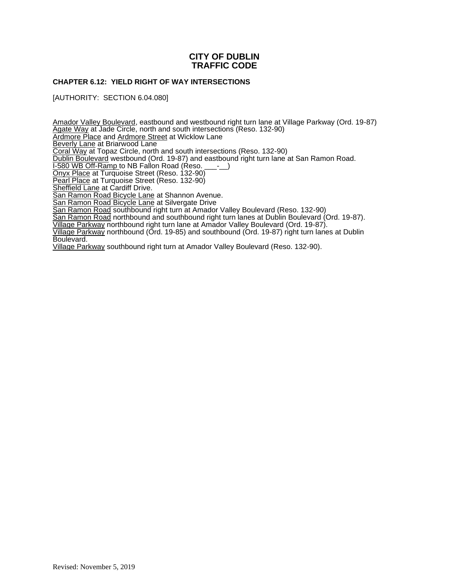# **CHAPTER 6.12: YIELD RIGHT OF WAY INTERSECTIONS**

[AUTHORITY: SECTION 6.04.080]

Amador Valley Boulevard, eastbound and westbound right turn lane at Village Parkway (Ord. 19-87) Agate Way at Jade Circle, north and south intersections (Reso. 132-90) Ardmore Place and Ardmore Street at Wicklow Lane **Beverly Lane at Briarwood Lane** Coral Way at Topaz Circle, north and south intersections (Reso. 132-90) Dublin Boulevard westbound (Ord. 19-87) and eastbound right turn lane at San Ramon Road. I-580 WB Off-Ramp to NB Fallon Road (Reso. \_\_\_-\_\_) Onyx Place at Turquoise Street (Reso. 132-90) Pearl Place at Turquoise Street (Reso. 132-90) **Sheffield Lane at Cardiff Drive.** San Ramon Road Bicycle Lane at Shannon Avenue. San Ramon Road Bicycle Lane at Silvergate Drive San Ramon Road southbound right turn at Amador Valley Boulevard (Reso. 132-90) San Ramon Road northbound and southbound right turn lanes at Dublin Boulevard (Ord. 19-87). Village Parkway northbound right turn lane at Amador Valley Boulevard (Ord. 19-87). Village Parkway northbound (Ord. 19-85) and southbound (Ord. 19-87) right turn lanes at Dublin Boulevard.

Village Parkway southbound right turn at Amador Valley Boulevard (Reso. 132-90).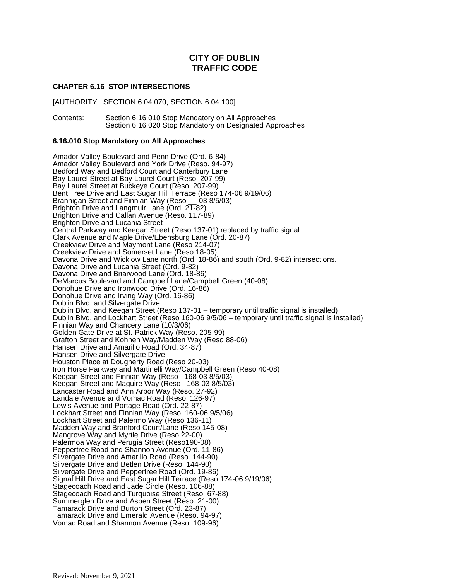# **CHAPTER 6.16 STOP INTERSECTIONS**

[AUTHORITY: SECTION 6.04.070; SECTION 6.04.100]

Contents: Section 6.16.010 Stop Mandatory on All Approaches Section 6.16.020 Stop Mandatory on Designated Approaches

# **6.16.010 Stop Mandatory on All Approaches**

Amador Valley Boulevard and Penn Drive (Ord. 6-84) Amador Valley Boulevard and York Drive (Reso. 94-97) Bedford Way and Bedford Court and Canterbury Lane Bay Laurel Street at Bay Laurel Court (Reso. 207-99) Bay Laurel Street at Buckeye Court (Reso. 207-99) Bent Tree Drive and East Sugar Hill Terrace (Reso 174-06 9/19/06) Brannigan Street and Finnian Way (Reso \_\_-03 8/5/03) Brighton Drive and Langmuir Lane (Ord. 21-82) Brighton Drive and Callan Avenue (Reso. 117-89) Brighton Drive and Lucania Street Central Parkway and Keegan Street (Reso 137-01) replaced by traffic signal Clark Avenue and Maple Drive/Ebensburg Lane (Ord. 20-87) Creekview Drive and Maymont Lane (Reso 214-07) Creekview Drive and Somerset Lane (Reso 18-05) Davona Drive and Wicklow Lane north (Ord. 18-86) and south (Ord. 9-82) intersections. Davona Drive and Lucania Street (Ord. 9-82) Davona Drive and Briarwood Lane (Ord. 18-86) DeMarcus Boulevard and Campbell Lane/Campbell Green (40-08) Donohue Drive and Ironwood Drive (Ord. 16-86) Donohue Drive and Irving Way (Ord. 16-86) Dublin Blvd. and Silvergate Drive Dublin Blvd. and Keegan Street (Reso 137-01 – temporary until traffic signal is installed) Dublin Blvd. and Lockhart Street (Reso 160-06 9/5/06 – temporary until traffic signal is installed) Finnian Way and Chancery Lane (10/3/06) Golden Gate Drive at St. Patrick Way (Reso. 205-99) Grafton Street and Kohnen Way/Madden Way (Reso 88-06) Hansen Drive and Amarillo Road (Ord. 34-87) Hansen Drive and Silvergate Drive Houston Place at Dougherty Road (Reso 20-03) Iron Horse Parkway and Martinelli Way/Campbell Green (Reso 40-08) Keegan Street and Finnian Way (Reso \_168-03 8/5/03) Keegan Street and Maguire Way (Reso \_168-03 8/5/03) Lancaster Road and Ann Arbor Way (Reso. 27-92) Landale Avenue and Vomac Road (Reso. 126-97) Lewis Avenue and Portage Road (Ord. 22-87) Lockhart Street and Finnian Way (Reso. 160-06 9/5/06) Lockhart Street and Palermo Way (Reso 136-11) Madden Way and Branford Court/Lane (Reso 145-08) Mangrove Way and Myrtle Drive (Reso 22-00) Palermoa Way and Perugia Street (Reso190-08) Peppertree Road and Shannon Avenue (Ord. 11-86) Silvergate Drive and Amarillo Road (Reso. 144-90) Silvergate Drive and Betlen Drive (Reso. 144-90) Silvergate Drive and Peppertree Road (Ord. 19-86) Signal Hill Drive and East Sugar Hill Terrace (Reso 174-06 9/19/06) Stagecoach Road and Jade Circle (Reso. 106-88) Stagecoach Road and Turquoise Street (Reso. 67-88) Summerglen Drive and Aspen Street (Reso. 21-00) Tamarack Drive and Burton Street (Ord. 23-87) Tamarack Drive and Emerald Avenue (Reso. 94-97) Vomac Road and Shannon Avenue (Reso. 109-96)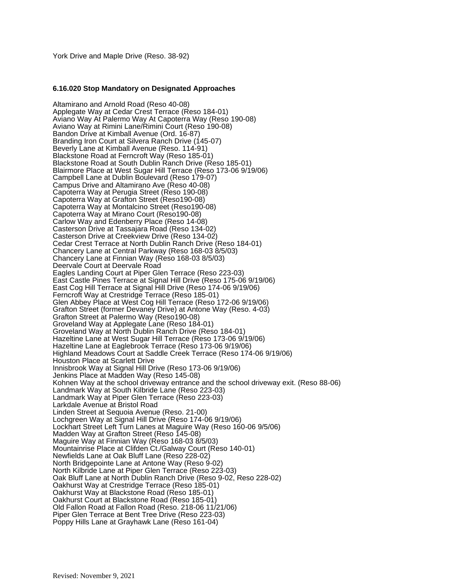# **6.16.020 Stop Mandatory on Designated Approaches**

Altamirano and Arnold Road (Reso 40-08) Applegate Way at Cedar Crest Terrace (Reso 184-01) Aviano Way At Palermo Way At Capoterra Way (Reso 190-08) Aviano Way at Rimini Lane/Rimini Court (Reso 190-08) Bandon Drive at Kimball Avenue (Ord. 16-87) Branding Iron Court at Silvera Ranch Drive (145-07) Beverly Lane at Kimball Avenue (Reso. 114-91) Blackstone Road at Ferncroft Way (Reso 185-01) Blackstone Road at South Dublin Ranch Drive (Reso 185-01) Blairmore Place at West Sugar Hill Terrace (Reso 173-06 9/19/06) Campbell Lane at Dublin Boulevard (Reso 179-07) Campus Drive and Altamirano Ave (Reso 40-08) Capoterra Way at Perugia Street (Reso 190-08) Capoterra Way at Grafton Street (Reso190-08) Capoterra Way at Montalcino Street (Reso190-08) Capoterra Way at Mirano Court (Reso190-08) Carlow Way and Edenberry Place (Reso 14-08) Casterson Drive at Tassajara Road (Reso 134-02) Casterson Drive at Creekview Drive (Reso 134-02) Cedar Crest Terrace at North Dublin Ranch Drive (Reso 184-01) Chancery Lane at Central Parkway (Reso 168-03 8/5/03) Chancery Lane at Finnian Way (Reso 168-03 8/5/03) Deervale Court at Deervale Road Eagles Landing Court at Piper Glen Terrace (Reso 223-03) East Castle Pines Terrace at Signal Hill Drive (Reso 175-06 9/19/06) East Cog Hill Terrace at Signal Hill Drive (Reso 174-06 9/19/06) Ferncroft Way at Crestridge Terrace (Reso 185-01) Glen Abbey Place at West Cog Hill Terrace (Reso 172-06 9/19/06) Grafton Street (former Devaney Drive) at Antone Way (Reso. 4-03) Grafton Street at Palermo Way (Reso190-08) Groveland Way at Applegate Lane (Reso 184-01) Groveland Way at North Dublin Ranch Drive (Reso 184-01) Hazeltine Lane at West Sugar Hill Terrace (Reso 173-06 9/19/06) Hazeltine Lane at Eaglebrook Terrace (Reso 173-06 9/19/06) Highland Meadows Court at Saddle Creek Terrace (Reso 174-06 9/19/06) Houston Place at Scarlett Drive Innisbrook Way at Signal Hill Drive (Reso 173-06 9/19/06) Jenkins Place at Madden Way (Reso 145-08) Kohnen Way at the school driveway entrance and the school driveway exit. (Reso 88-06) Landmark Way at South Kilbride Lane (Reso 223-03) Landmark Way at Piper Glen Terrace (Reso 223-03) Larkdale Avenue at Bristol Road Linden Street at Sequoia Avenue (Reso. 21-00) Lochgreen Way at Signal Hill Drive (Reso 174-06 9/19/06) Lockhart Street Left Turn Lanes at Maguire Way (Reso 160-06 9/5/06) Madden Way at Grafton Street (Reso 145-08) Maguire Way at Finnian Way (Reso 168-03 8/5/03) Mountainrise Place at Clifden Ct./Galway Court (Reso 140-01) Newfields Lane at Oak Bluff Lane (Reso 228-02) North Bridgepointe Lane at Antone Way (Reso 9-02) North Kilbride Lane at Piper Glen Terrace (Reso 223-03) Oak Bluff Lane at North Dublin Ranch Drive (Reso 9-02, Reso 228-02) Oakhurst Way at Crestridge Terrace (Reso 185-01) Oakhurst Way at Blackstone Road (Reso 185-01) Oakhurst Court at Blackstone Road (Reso 185-01) Old Fallon Road at Fallon Road (Reso. 218-06 11/21/06) Piper Glen Terrace at Bent Tree Drive (Reso 223-03) Poppy Hills Lane at Grayhawk Lane (Reso 161-04)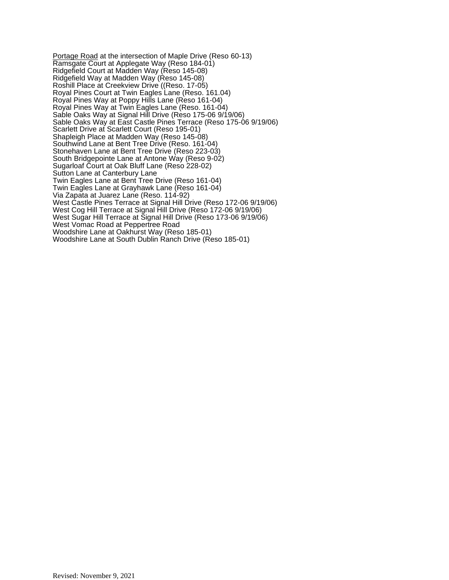Portage Road at the intersection of Maple Drive (Reso 60-13) Ramsgate Court at Applegate Way (Reso 184-01) Ridgefield Court at Madden Way (Reso 145-08) Ridgefield Way at Madden Way (Reso 145-08) Roshill Place at Creekview Drive ((Reso. 17-05) Royal Pines Court at Twin Eagles Lane (Reso. 161.04) Royal Pines Way at Poppy Hills Lane (Reso 161-04) Royal Pines Way at Twin Eagles Lane (Reso. 161-04) Sable Oaks Way at Signal Hill Drive (Reso 175-06 9/19/06) Sable Oaks Way at East Castle Pines Terrace (Reso 175-06 9/19/06) Scarlett Drive at Scarlett Court (Reso 195-01) Shapleigh Place at Madden Way (Reso 145-08) Southwind Lane at Bent Tree Drive (Reso. 161-04) Stonehaven Lane at Bent Tree Drive (Reso 223-03) South Bridgepointe Lane at Antone Way (Reso 9-02) Sugarloaf Court at Oak Bluff Lane (Reso 228-02) Sutton Lane at Canterbury Lane Twin Eagles Lane at Bent Tree Drive (Reso 161-04) Twin Eagles Lane at Grayhawk Lane (Reso 161-04) Via Zapata at Juarez Lane (Reso. 114-92) West Castle Pines Terrace at Signal Hill Drive (Reso 172-06 9/19/06) West Cog Hill Terrace at Signal Hill Drive (Reso 172-06 9/19/06) West Sugar Hill Terrace at Signal Hill Drive (Reso 173-06 9/19/06) West Vomac Road at Peppertree Road Woodshire Lane at Oakhurst Way (Reso 185-01) Woodshire Lane at South Dublin Ranch Drive (Reso 185-01)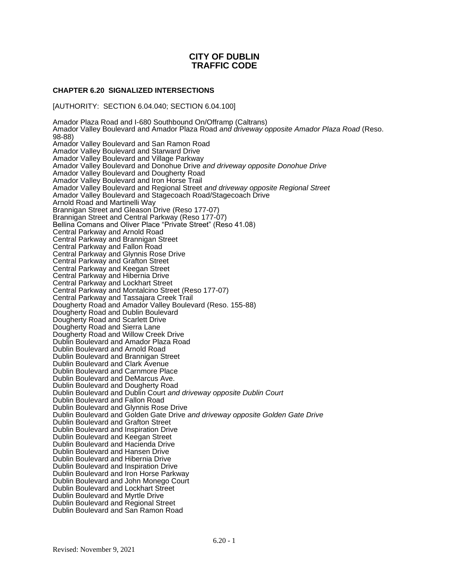# **CHAPTER 6.20 SIGNALIZED INTERSECTIONS**

[AUTHORITY: SECTION 6.04.040; SECTION 6.04.100]

Amador Plaza Road and I-680 Southbound On/Offramp (Caltrans) Amador Valley Boulevard and Amador Plaza Road *and driveway opposite Amador Plaza Road* (Reso. 98-88) Amador Valley Boulevard and San Ramon Road Amador Valley Boulevard and Starward Drive Amador Valley Boulevard and Village Parkway Amador Valley Boulevard and Donohue Drive *and driveway opposite Donohue Drive* Amador Valley Boulevard and Dougherty Road Amador Valley Boulevard and Iron Horse Trail Amador Valley Boulevard and Regional Street *and driveway opposite Regional Street* Amador Valley Boulevard and Stagecoach Road/Stagecoach Drive Arnold Road and Martinelli Way Brannigan Street and Gleason Drive (Reso 177-07) Brannigan Street and Central Parkway (Reso 177-07) Bellina Comans and Oliver Place "Private Street" (Reso 41.08) Central Parkway and Arnold Road Central Parkway and Brannigan Street Central Parkway and Fallon Road Central Parkway and Glynnis Rose Drive Central Parkway and Grafton Street Central Parkway and Keegan Street Central Parkway and Hibernia Drive Central Parkway and Lockhart Street Central Parkway and Montalcino Street (Reso 177-07) Central Parkway and Tassajara Creek Trail Dougherty Road and Amador Valley Boulevard (Reso. 155-88) Dougherty Road and Dublin Boulevard Dougherty Road and Scarlett Drive Dougherty Road and Sierra Lane Dougherty Road and Willow Creek Drive Dublin Boulevard and Amador Plaza Road Dublin Boulevard and Arnold Road Dublin Boulevard and Brannigan Street Dublin Boulevard and Clark Avenue Dublin Boulevard and Carnmore Place Dublin Boulevard and DeMarcus Ave. Dublin Boulevard and Dougherty Road Dublin Boulevard and Dublin Court *and driveway opposite Dublin Court* Dublin Boulevard and Fallon Road Dublin Boulevard and Glynnis Rose Drive Dublin Boulevard and Golden Gate Drive *and driveway opposite Golden Gate Drive* Dublin Boulevard and Grafton Street Dublin Boulevard and Inspiration Drive Dublin Boulevard and Keegan Street Dublin Boulevard and Hacienda Drive Dublin Boulevard and Hansen Drive Dublin Boulevard and Hibernia Drive Dublin Boulevard and Inspiration Drive Dublin Boulevard and Iron Horse Parkway Dublin Boulevard and John Monego Court Dublin Boulevard and Lockhart Street Dublin Boulevard and Myrtle Drive Dublin Boulevard and Regional Street Dublin Boulevard and San Ramon Road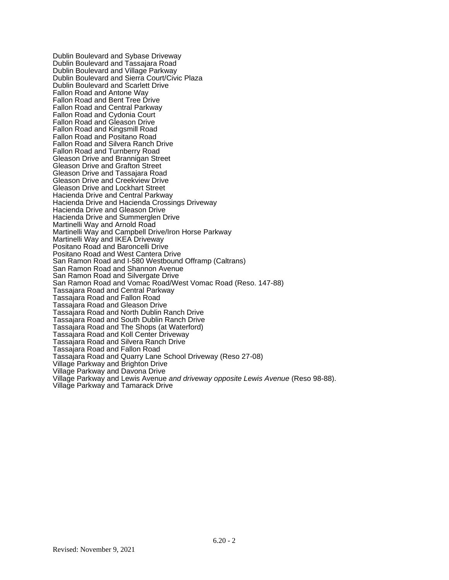Dublin Boulevard and Sybase Driveway Dublin Boulevard and Tassajara Road Dublin Boulevard and Village Parkway Dublin Boulevard and Sierra Court/Civic Plaza Dublin Boulevard and Scarlett Drive Fallon Road and Antone Way Fallon Road and Bent Tree Drive Fallon Road and Central Parkway Fallon Road and Cydonia Court Fallon Road and Gleason Drive Fallon Road and Kingsmill Road Fallon Road and Positano Road Fallon Road and Silvera Ranch Drive Fallon Road and Turnberry Road Gleason Drive and Brannigan Street Gleason Drive and Grafton Street Gleason Drive and Tassajara Road Gleason Drive and Creekview Drive Gleason Drive and Lockhart Street Hacienda Drive and Central Parkway Hacienda Drive and Hacienda Crossings Driveway Hacienda Drive and Gleason Drive Hacienda Drive and Summerglen Drive Martinelli Way and Arnold Road Martinelli Way and Campbell Drive/Iron Horse Parkway Martinelli Way and IKEA Driveway Positano Road and Baroncelli Drive Positano Road and West Cantera Drive San Ramon Road and I-580 Westbound Offramp (Caltrans) San Ramon Road and Shannon Avenue San Ramon Road and Silvergate Drive San Ramon Road and Vomac Road/West Vomac Road (Reso. 147-88) Tassajara Road and Central Parkway Tassajara Road and Fallon Road Tassajara Road and Gleason Drive Tassajara Road and North Dublin Ranch Drive Tassajara Road and South Dublin Ranch Drive Tassajara Road and The Shops (at Waterford) Tassajara Road and Koll Center Driveway Tassajara Road and Silvera Ranch Drive Tassajara Road and Fallon Road Tassajara Road and Quarry Lane School Driveway (Reso 27-08) Village Parkway and Brighton Drive Village Parkway and Davona Drive Village Parkway and Lewis Avenue *and driveway opposite Lewis Avenue* (Reso 98-88). Village Parkway and Tamarack Drive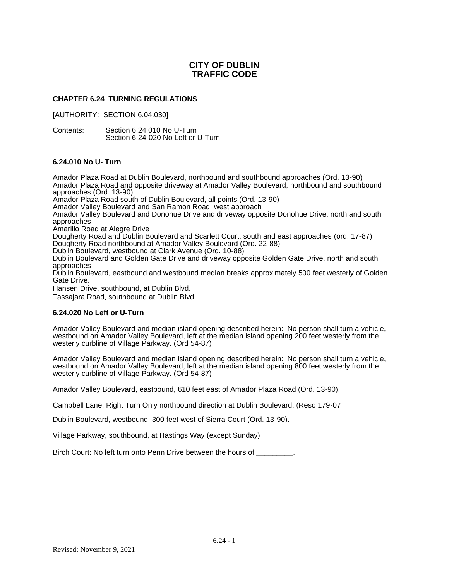# **CHAPTER 6.24 TURNING REGULATIONS**

[AUTHORITY: SECTION 6.04.030]

Contents: Section 6.24.010 No U-Turn Section 6.24-020 No Left or U-Turn

# **6.24.010 No U- Turn**

Amador Plaza Road at Dublin Boulevard, northbound and southbound approaches (Ord. 13-90) Amador Plaza Road and opposite driveway at Amador Valley Boulevard, northbound and southbound approaches (Ord. 13-90) Amador Plaza Road south of Dublin Boulevard, all points (Ord. 13-90) Amador Valley Boulevard and San Ramon Road, west approach Amador Valley Boulevard and Donohue Drive and driveway opposite Donohue Drive, north and south approaches Amarillo Road at Alegre Drive Dougherty Road and Dublin Boulevard and Scarlett Court, south and east approaches (ord. 17-87) Dougherty Road northbound at Amador Valley Boulevard (Ord. 22-88) Dublin Boulevard, westbound at Clark Avenue (Ord. 10-88) Dublin Boulevard and Golden Gate Drive and driveway opposite Golden Gate Drive, north and south approaches Dublin Boulevard, eastbound and westbound median breaks approximately 500 feet westerly of Golden Gate Drive. Hansen Drive, southbound, at Dublin Blvd. Tassajara Road, southbound at Dublin Blvd **6.24.020 No Left or U-Turn**

Amador Valley Boulevard and median island opening described herein: No person shall turn a vehicle, westbound on Amador Valley Boulevard, left at the median island opening 200 feet westerly from the westerly curbline of Village Parkway. (Ord 54-87)

Amador Valley Boulevard and median island opening described herein: No person shall turn a vehicle, westbound on Amador Valley Boulevard, left at the median island opening 800 feet westerly from the westerly curbline of Village Parkway. (Ord 54-87)

Amador Valley Boulevard, eastbound, 610 feet east of Amador Plaza Road (Ord. 13-90).

Campbell Lane, Right Turn Only northbound direction at Dublin Boulevard. (Reso 179-07

Dublin Boulevard, westbound, 300 feet west of Sierra Court (Ord. 13-90).

Village Parkway, southbound, at Hastings Way (except Sunday)

Birch Court: No left turn onto Penn Drive between the hours of  $\qquad \qquad$ .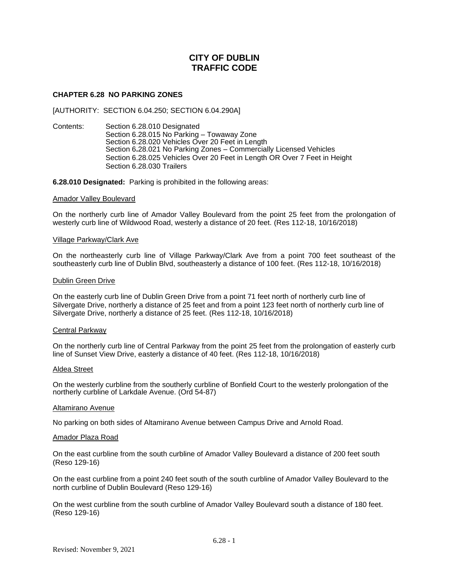# **CHAPTER 6.28 NO PARKING ZONES**

[AUTHORITY: SECTION 6.04.250; SECTION 6.04.290A]

Contents: Section 6.28.010 Designated Section 6.28.015 No Parking – Towaway Zone Section 6.28.020 Vehicles Over 20 Feet in Length Section 6**.**28.021 No Parking Zones – Commercially Licensed Vehicles Section 6.28.025 Vehicles Over 20 Feet in Length OR Over 7 Feet in Height Section 6.28.030 Trailers

**6.28.010 Designated:** Parking is prohibited in the following areas:

# Amador Valley Boulevard

On the northerly curb line of Amador Valley Boulevard from the point 25 feet from the prolongation of westerly curb line of Wildwood Road, westerly a distance of 20 feet. (Res 112-18, 10/16/2018)

#### Village Parkway/Clark Ave

On the northeasterly curb line of Village Parkway/Clark Ave from a point 700 feet southeast of the southeasterly curb line of Dublin Blvd, southeasterly a distance of 100 feet. (Res 112-18, 10/16/2018)

# Dublin Green Drive

On the easterly curb line of Dublin Green Drive from a point 71 feet north of northerly curb line of Silvergate Drive, northerly a distance of 25 feet and from a point 123 feet north of northerly curb line of Silvergate Drive, northerly a distance of 25 feet. (Res 112-18, 10/16/2018)

# Central Parkway

On the northerly curb line of Central Parkway from the point 25 feet from the prolongation of easterly curb line of Sunset View Drive, easterly a distance of 40 feet. (Res 112-18, 10/16/2018)

# Aldea Street

On the westerly curbline from the southerly curbline of Bonfield Court to the westerly prolongation of the northerly curbline of Larkdale Avenue. (Ord 54-87)

# Altamirano Avenue

No parking on both sides of Altamirano Avenue between Campus Drive and Arnold Road.

#### Amador Plaza Road

On the east curbline from the south curbline of Amador Valley Boulevard a distance of 200 feet south (Reso 129-16)

On the east curbline from a point 240 feet south of the south curbline of Amador Valley Boulevard to the north curbline of Dublin Boulevard (Reso 129-16)

On the west curbline from the south curbline of Amador Valley Boulevard south a distance of 180 feet. (Reso 129-16)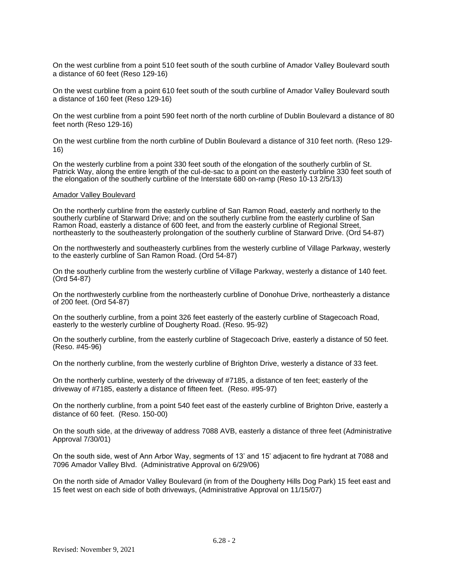On the west curbline from a point 510 feet south of the south curbline of Amador Valley Boulevard south a distance of 60 feet (Reso 129-16)

On the west curbline from a point 610 feet south of the south curbline of Amador Valley Boulevard south a distance of 160 feet (Reso 129-16)

On the west curbline from a point 590 feet north of the north curbline of Dublin Boulevard a distance of 80 feet north (Reso 129-16)

On the west curbline from the north curbline of Dublin Boulevard a distance of 310 feet north. (Reso 129- 16)

On the westerly curbline from a point 330 feet south of the elongation of the southerly curblin of St. Patrick Way, along the entire length of the cul-de-sac to a point on the easterly curbline 330 feet south of the elongation of the southerly curbline of the Interstate 680 on-ramp (Reso 10-13 2/5/13)

#### Amador Valley Boulevard

On the northerly curbline from the easterly curbline of San Ramon Road, easterly and northerly to the southerly curbline of Starward Drive; and on the southerly curbline from the easterly curbline of San Ramon Road, easterly a distance of 600 feet, and from the easterly curbline of Regional Street, northeasterly to the southeasterly prolongation of the southerly curbline of Starward Drive. (Ord 54-87)

On the northwesterly and southeasterly curblines from the westerly curbline of Village Parkway, westerly to the easterly curbline of San Ramon Road. (Ord 54-87)

On the southerly curbline from the westerly curbline of Village Parkway, westerly a distance of 140 feet. (Ord 54-87)

On the northwesterly curbline from the northeasterly curbline of Donohue Drive, northeasterly a distance of 200 feet. (Ord 54-87)

On the southerly curbline, from a point 326 feet easterly of the easterly curbline of Stagecoach Road, easterly to the westerly curbline of Dougherty Road. (Reso. 95-92)

On the southerly curbline, from the easterly curbline of Stagecoach Drive, easterly a distance of 50 feet. (Reso. #45-96)

On the northerly curbline, from the westerly curbline of Brighton Drive, westerly a distance of 33 feet.

On the northerly curbline, westerly of the driveway of #7185, a distance of ten feet; easterly of the driveway of #7185, easterly a distance of fifteen feet. (Reso. #95-97)

On the northerly curbline, from a point 540 feet east of the easterly curbline of Brighton Drive, easterly a distance of 60 feet. (Reso. 150-00)

On the south side, at the driveway of address 7088 AVB, easterly a distance of three feet (Administrative Approval 7/30/01)

On the south side, west of Ann Arbor Way, segments of 13' and 15' adjacent to fire hydrant at 7088 and 7096 Amador Valley Blvd. (Administrative Approval on 6/29/06)

On the north side of Amador Valley Boulevard (in from of the Dougherty Hills Dog Park) 15 feet east and 15 feet west on each side of both driveways, (Administrative Approval on 11/15/07)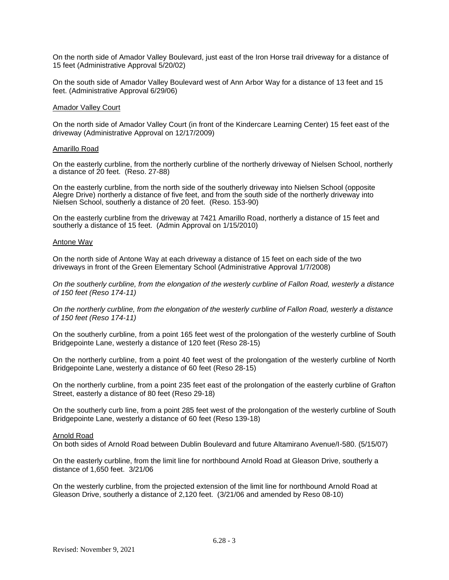On the north side of Amador Valley Boulevard, just east of the Iron Horse trail driveway for a distance of 15 feet (Administrative Approval 5/20/02)

On the south side of Amador Valley Boulevard west of Ann Arbor Way for a distance of 13 feet and 15 feet. (Administrative Approval 6/29/06)

# Amador Valley Court

On the north side of Amador Valley Court (in front of the Kindercare Learning Center) 15 feet east of the driveway (Administrative Approval on 12/17/2009)

#### Amarillo Road

On the easterly curbline, from the northerly curbline of the northerly driveway of Nielsen School, northerly a distance of 20 feet. (Reso. 27-88)

On the easterly curbline, from the north side of the southerly driveway into Nielsen School (opposite Alegre Drive) northerly a distance of five feet, and from the south side of the northerly driveway into Nielsen School, southerly a distance of 20 feet. (Reso. 153-90)

On the easterly curbline from the driveway at 7421 Amarillo Road, northerly a distance of 15 feet and southerly a distance of 15 feet. (Admin Approval on 1/15/2010)

#### Antone Way

On the north side of Antone Way at each driveway a distance of 15 feet on each side of the two driveways in front of the Green Elementary School (Administrative Approval 1/7/2008)

*On the southerly curbline, from the elongation of the westerly curbline of Fallon Road, westerly a distance of 150 feet (Reso 174-11)*

*On the northerly curbline, from the elongation of the westerly curbline of Fallon Road, westerly a distance of 150 feet (Reso 174-11)*

On the southerly curbline, from a point 165 feet west of the prolongation of the westerly curbline of South Bridgepointe Lane, westerly a distance of 120 feet (Reso 28-15)

On the northerly curbline, from a point 40 feet west of the prolongation of the westerly curbline of North Bridgepointe Lane, westerly a distance of 60 feet (Reso 28-15)

On the northerly curbline, from a point 235 feet east of the prolongation of the easterly curbline of Grafton Street, easterly a distance of 80 feet (Reso 29-18)

On the southerly curb line, from a point 285 feet west of the prolongation of the westerly curbline of South Bridgepointe Lane, westerly a distance of 60 feet (Reso 139-18)

# Arnold Road

On both sides of Arnold Road between Dublin Boulevard and future Altamirano Avenue/I-580. (5/15/07)

On the easterly curbline, from the limit line for northbound Arnold Road at Gleason Drive, southerly a distance of 1,650 feet. 3/21/06

On the westerly curbline, from the projected extension of the limit line for northbound Arnold Road at Gleason Drive, southerly a distance of 2,120 feet. (3/21/06 and amended by Reso 08-10)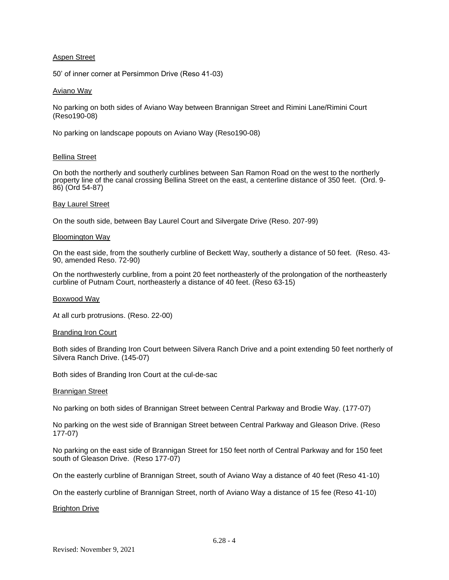# Aspen Street

50' of inner corner at Persimmon Drive (Reso 41-03)

# Aviano Way

No parking on both sides of Aviano Way between Brannigan Street and Rimini Lane/Rimini Court (Reso190-08)

No parking on landscape popouts on Aviano Way (Reso190-08)

# Bellina Street

On both the northerly and southerly curblines between San Ramon Road on the west to the northerly property line of the canal crossing Bellina Street on the east, a centerline distance of 350 feet. (Ord. 9-86) (Ord 54-87)

# Bay Laurel Street

On the south side, between Bay Laurel Court and Silvergate Drive (Reso. 207-99)

# Bloomington Way

On the east side, from the southerly curbline of Beckett Way, southerly a distance of 50 feet. (Reso. 43- 90, amended Reso. 72-90)

On the northwesterly curbline, from a point 20 feet northeasterly of the prolongation of the northeasterly curbline of Putnam Court, northeasterly a distance of 40 feet. (Reso 63-15)

# Boxwood Way

At all curb protrusions. (Reso. 22-00)

# Branding Iron Court

Both sides of Branding Iron Court between Silvera Ranch Drive and a point extending 50 feet northerly of Silvera Ranch Drive. (145-07)

Both sides of Branding Iron Court at the cul-de-sac

# Brannigan Street

No parking on both sides of Brannigan Street between Central Parkway and Brodie Way. (177-07)

No parking on the west side of Brannigan Street between Central Parkway and Gleason Drive. (Reso 177-07)

No parking on the east side of Brannigan Street for 150 feet north of Central Parkway and for 150 feet south of Gleason Drive. (Reso 177-07)

On the easterly curbline of Brannigan Street, south of Aviano Way a distance of 40 feet (Reso 41-10)

On the easterly curbline of Brannigan Street, north of Aviano Way a distance of 15 fee (Reso 41-10)

# Brighton Drive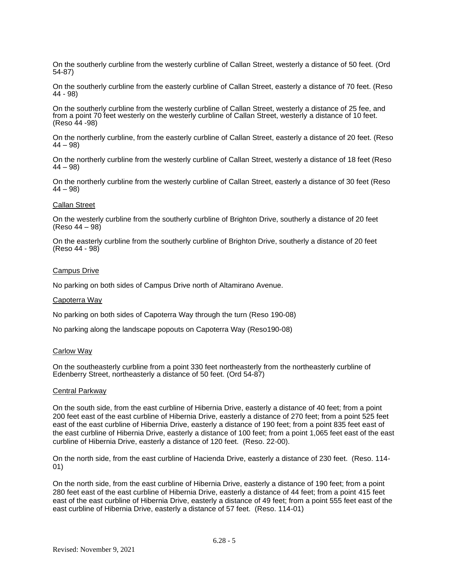On the southerly curbline from the westerly curbline of Callan Street, westerly a distance of 50 feet. (Ord 54-87)

On the southerly curbline from the easterly curbline of Callan Street, easterly a distance of 70 feet. (Reso 44 - 98)

On the southerly curbline from the westerly curbline of Callan Street, westerly a distance of 25 fee, and from a point 70 feet westerly on the westerly curbline of Callan Street, westerly a distance of 10 feet. (Reso 44 -98)

On the northerly curbline, from the easterly curbline of Callan Street, easterly a distance of 20 feet. (Reso  $(44 - 98)$ 

On the northerly curbline from the westerly curbline of Callan Street, westerly a distance of 18 feet (Reso  $(44 - 98)$ 

On the northerly curbline from the westerly curbline of Callan Street, easterly a distance of 30 feet (Reso  $(44 - 98)$ 

# Callan Street

On the westerly curbline from the southerly curbline of Brighton Drive, southerly a distance of 20 feet (Reso 44 – 98)

On the easterly curbline from the southerly curbline of Brighton Drive, southerly a distance of 20 feet (Reso 44 - 98)

# Campus Drive

No parking on both sides of Campus Drive north of Altamirano Avenue.

# Capoterra Way

No parking on both sides of Capoterra Way through the turn (Reso 190-08)

No parking along the landscape popouts on Capoterra Way (Reso190-08)

# Carlow Way

On the southeasterly curbline from a point 330 feet northeasterly from the northeasterly curbline of Edenberry Street, northeasterly a distance of 50 feet. (Ord 54-87)

# Central Parkway

On the south side, from the east curbline of Hibernia Drive, easterly a distance of 40 feet; from a point 200 feet east of the east curbline of Hibernia Drive, easterly a distance of 270 feet; from a point 525 feet east of the east curbline of Hibernia Drive, easterly a distance of 190 feet; from a point 835 feet east of the east curbline of Hibernia Drive, easterly a distance of 100 feet; from a point 1,065 feet east of the east curbline of Hibernia Drive, easterly a distance of 120 feet. (Reso. 22-00).

On the north side, from the east curbline of Hacienda Drive, easterly a distance of 230 feet. (Reso. 114- 01)

On the north side, from the east curbline of Hibernia Drive, easterly a distance of 190 feet; from a point 280 feet east of the east curbline of Hibernia Drive, easterly a distance of 44 feet; from a point 415 feet east of the east curbline of Hibernia Drive, easterly a distance of 49 feet; from a point 555 feet east of the east curbline of Hibernia Drive, easterly a distance of 57 feet. (Reso. 114-01)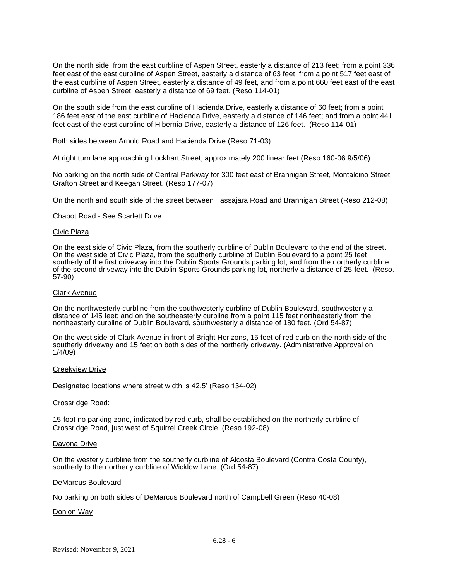On the north side, from the east curbline of Aspen Street, easterly a distance of 213 feet; from a point 336 feet east of the east curbline of Aspen Street, easterly a distance of 63 feet; from a point 517 feet east of the east curbline of Aspen Street, easterly a distance of 49 feet, and from a point 660 feet east of the east curbline of Aspen Street, easterly a distance of 69 feet. (Reso 114-01)

On the south side from the east curbline of Hacienda Drive, easterly a distance of 60 feet; from a point 186 feet east of the east curbline of Hacienda Drive, easterly a distance of 146 feet; and from a point 441 feet east of the east curbline of Hibernia Drive, easterly a distance of 126 feet. (Reso 114-01)

Both sides between Arnold Road and Hacienda Drive (Reso 71-03)

At right turn lane approaching Lockhart Street, approximately 200 linear feet (Reso 160-06 9/5/06)

No parking on the north side of Central Parkway for 300 feet east of Brannigan Street, Montalcino Street, Grafton Street and Keegan Street. (Reso 177-07)

On the north and south side of the street between Tassajara Road and Brannigan Street (Reso 212-08)

# Chabot Road - See Scarlett Drive

# Civic Plaza

On the east side of Civic Plaza, from the southerly curbline of Dublin Boulevard to the end of the street. On the west side of Civic Plaza, from the southerly curbline of Dublin Boulevard to a point 25 feet southerly of the first driveway into the Dublin Sports Grounds parking lot; and from the northerly curbline of the second driveway into the Dublin Sports Grounds parking lot, northerly a distance of 25 feet. (Reso. 57-90)

# Clark Avenue

On the northwesterly curbline from the southwesterly curbline of Dublin Boulevard, southwesterly a distance of 145 feet; and on the southeasterly curbline from a point 115 feet northeasterly from the northeasterly curbline of Dublin Boulevard, southwesterly a distance of 180 feet. (Ord 54-87)

On the west side of Clark Avenue in front of Bright Horizons, 15 feet of red curb on the north side of the southerly driveway and 15 feet on both sides of the northerly driveway. (Administrative Approval on 1/4/09)

# Creekview Drive

Designated locations where street width is 42.5' (Reso 134-02)

# Crossridge Road:

15-foot no parking zone, indicated by red curb, shall be established on the northerly curbline of Crossridge Road, just west of Squirrel Creek Circle. (Reso 192-08)

# Davona Drive

On the westerly curbline from the southerly curbline of Alcosta Boulevard (Contra Costa County), southerly to the northerly curbline of Wicklow Lane. (Ord 54-87)

# DeMarcus Boulevard

No parking on both sides of DeMarcus Boulevard north of Campbell Green (Reso 40-08)

# Donlon Way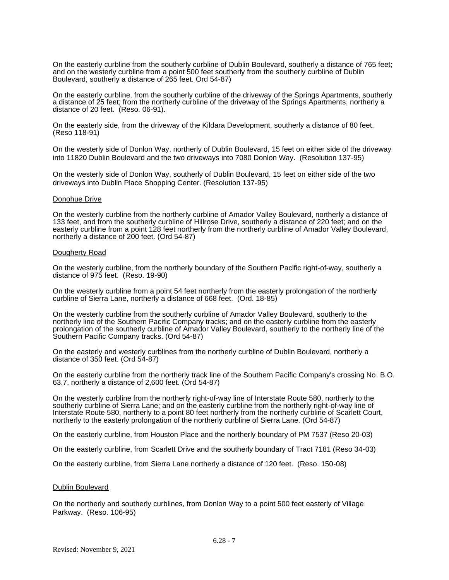On the easterly curbline from the southerly curbline of Dublin Boulevard, southerly a distance of 765 feet; and on the westerly curbline from a point 500 feet southerly from the southerly curbline of Dublin Boulevard, southerly a distance of 265 feet. Ord 54-87)

On the easterly curbline, from the southerly curbline of the driveway of the Springs Apartments, southerly a distance of 25 feet; from the northerly curbline of the driveway of the Springs Apartments, northerly a distance of 20 feet. (Reso. 06-91).

On the easterly side, from the driveway of the Kildara Development, southerly a distance of 80 feet. (Reso 118-91)

On the westerly side of Donlon Way, northerly of Dublin Boulevard, 15 feet on either side of the driveway into 11820 Dublin Boulevard and the two driveways into 7080 Donlon Way. (Resolution 137-95)

On the westerly side of Donlon Way, southerly of Dublin Boulevard, 15 feet on either side of the two driveways into Dublin Place Shopping Center. (Resolution 137-95)

#### Donohue Drive

On the westerly curbline from the northerly curbline of Amador Valley Boulevard, northerly a distance of 133 feet, and from the southerly curbline of Hillrose Drive, southerly a distance of 220 feet; and on the easterly curbline from a point 128 feet northerly from the northerly curbline of Amador Valley Boulevard, northerly a distance of 200 feet. (Ord 54-87)

#### Dougherty Road

On the westerly curbline, from the northerly boundary of the Southern Pacific right-of-way, southerly a distance of 975 feet. (Reso. 19-90)

On the westerly curbline from a point 54 feet northerly from the easterly prolongation of the northerly curbline of Sierra Lane, northerly a distance of 668 feet. (Ord. 18-85)

On the westerly curbline from the southerly curbline of Amador Valley Boulevard, southerly to the northerly line of the Southern Pacific Company tracks; and on the easterly curbline from the easterly prolongation of the southerly curbline of Amador Valley Boulevard, southerly to the northerly line of the Southern Pacific Company tracks. (Ord 54-87)

On the easterly and westerly curblines from the northerly curbline of Dublin Boulevard, northerly a distance of 350 feet. (Ord 54-87)

On the easterly curbline from the northerly track line of the Southern Pacific Company's crossing No. B.O. 63.7, northerly a distance of 2,600 feet. (Ord 54-87)

On the westerly curbline from the northerly right-of-way line of Interstate Route 580, northerly to the southerly curbline of Sierra Lane; and on the easterly curbline from the northerly right-of-way line of Interstate Route 580, northerly to a point 80 feet northerly from the northerly curbline of Scarlett Court, northerly to the easterly prolongation of the northerly curbline of Sierra Lane. (Ord 54-87)

On the easterly curbline, from Houston Place and the northerly boundary of PM 7537 (Reso 20-03)

On the easterly curbline, from Scarlett Drive and the southerly boundary of Tract 7181 (Reso 34-03)

On the easterly curbline, from Sierra Lane northerly a distance of 120 feet. (Reso. 150-08)

# Dublin Boulevard

On the northerly and southerly curblines, from Donlon Way to a point 500 feet easterly of Village Parkway. (Reso. 106-95)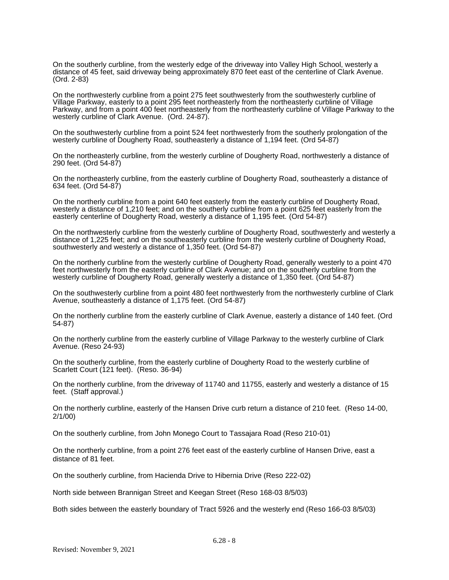On the southerly curbline, from the westerly edge of the driveway into Valley High School, westerly a distance of 45 feet, said driveway being approximately 870 feet east of the centerline of Clark Avenue. (Ord. 2-83)

On the northwesterly curbline from a point 275 feet southwesterly from the southwesterly curbline of Village Parkway, easterly to a point 295 feet northeasterly from the northeasterly curbline of Village Parkway, and from a point 400 feet northeasterly from the northeasterly curbline of Village Parkway to the westerly curbline of Clark Avenue. (Ord. 24-87).

On the southwesterly curbline from a point 524 feet northwesterly from the southerly prolongation of the westerly curbline of Dougherty Road, southeasterly a distance of 1,194 feet. (Ord 54-87)

On the northeasterly curbline, from the westerly curbline of Dougherty Road, northwesterly a distance of 290 feet. (Ord 54-87)

On the northeasterly curbline, from the easterly curbline of Dougherty Road, southeasterly a distance of 634 feet. (Ord 54-87)

On the northerly curbline from a point 640 feet easterly from the easterly curbline of Dougherty Road, westerly a distance of 1,210 feet; and on the southerly curbline from a point 625 feet easterly from the easterly centerline of Dougherty Road, westerly a distance of 1,195 feet. (Ord 54-87)

On the northwesterly curbline from the westerly curbline of Dougherty Road, southwesterly and westerly a distance of 1,225 feet; and on the southeasterly curbline from the westerly curbline of Dougherty Road, southwesterly and westerly a distance of 1,350 feet. (Ord 54-87)

On the northerly curbline from the westerly curbline of Dougherty Road, generally westerly to a point 470 feet northwesterly from the easterly curbline of Clark Avenue; and on the southerly curbline from the westerly curbline of Dougherty Road, generally westerly a distance of 1,350 feet. (Ord 54-87)

On the southwesterly curbline from a point 480 feet northwesterly from the northwesterly curbline of Clark Avenue, southeasterly a distance of 1,175 feet. (Ord 54-87)

On the northerly curbline from the easterly curbline of Clark Avenue, easterly a distance of 140 feet. (Ord 54-87)

On the northerly curbline from the easterly curbline of Village Parkway to the westerly curbline of Clark Avenue. (Reso 24-93)

On the southerly curbline, from the easterly curbline of Dougherty Road to the westerly curbline of Scarlett Court (121 feet). (Reso. 36-94)

On the northerly curbline, from the driveway of 11740 and 11755, easterly and westerly a distance of 15 feet. (Staff approval.)

On the northerly curbline, easterly of the Hansen Drive curb return a distance of 210 feet. (Reso 14-00, 2/1/00)

On the southerly curbline, from John Monego Court to Tassajara Road (Reso 210-01)

On the northerly curbline, from a point 276 feet east of the easterly curbline of Hansen Drive, east a distance of 81 feet.

On the southerly curbline, from Hacienda Drive to Hibernia Drive (Reso 222-02)

North side between Brannigan Street and Keegan Street (Reso 168-03 8/5/03)

Both sides between the easterly boundary of Tract 5926 and the westerly end (Reso 166-03 8/5/03)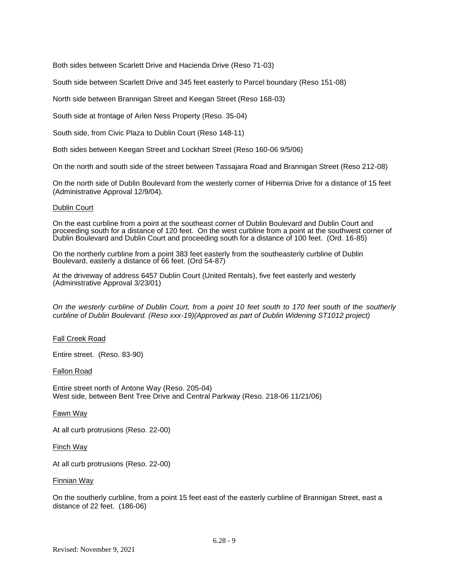Both sides between Scarlett Drive and Hacienda Drive (Reso 71-03)

South side between Scarlett Drive and 345 feet easterly to Parcel boundary (Reso 151-08)

North side between Brannigan Street and Keegan Street (Reso 168-03)

South side at frontage of Arlen Ness Property (Reso. 35-04)

South side, from Civic Plaza to Dublin Court (Reso 148-11)

Both sides between Keegan Street and Lockhart Street (Reso 160-06 9/5/06)

On the north and south side of the street between Tassajara Road and Brannigan Street (Reso 212-08)

On the north side of Dublin Boulevard from the westerly corner of Hibernia Drive for a distance of 15 feet (Administrative Approval 12/9/04).

# Dublin Court

On the east curbline from a point at the southeast corner of Dublin Boulevard and Dublin Court and proceeding south for a distance of 120 feet. On the west curbline from a point at the southwest corner of Dublin Boulevard and Dublin Court and proceeding south for a distance of 100 feet. (Ord. 16-85)

On the northerly curbline from a point 383 feet easterly from the southeasterly curbline of Dublin Boulevard, easterly a distance of 66 feet. (Ord 54-87)

At the driveway of address 6457 Dublin Court (United Rentals), five feet easterly and westerly (Administrative Approval 3/23/01)

*On the westerly curbline of Dublin Court, from a point 10 feet south to 170 feet south of the southerly curbline of Dublin Boulevard. (Reso xxx-19)(Approved as part of Dublin Widening ST1012 project)*

# Fall Creek Road

Entire street. (Reso. 83-90)

# Fallon Road

Entire street north of Antone Way (Reso. 205-04) West side, between Bent Tree Drive and Central Parkway (Reso. 218-06 11/21/06)

# Fawn Way

At all curb protrusions (Reso. 22-00)

Finch Way

At all curb protrusions (Reso. 22-00)

#### Finnian Way

On the southerly curbline, from a point 15 feet east of the easterly curbline of Brannigan Street, east a distance of 22 feet. (186-06)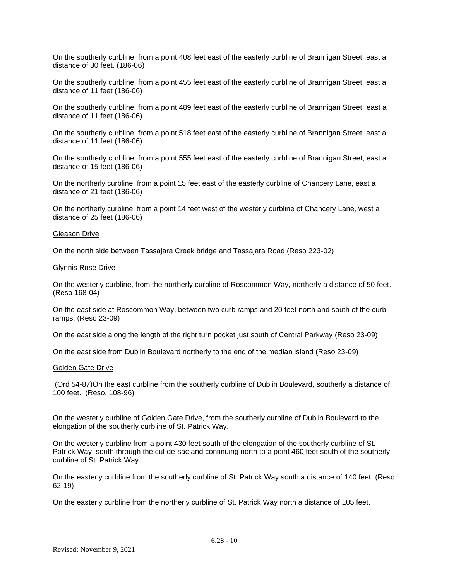On the southerly curbline, from a point 408 feet east of the easterly curbline of Brannigan Street, east a distance of 30 feet. (186-06)

On the southerly curbline, from a point 455 feet east of the easterly curbline of Brannigan Street, east a distance of 11 feet (186-06)

On the southerly curbline, from a point 489 feet east of the easterly curbline of Brannigan Street, east a distance of 11 feet (186-06)

On the southerly curbline, from a point 518 feet east of the easterly curbline of Brannigan Street, east a distance of 11 feet (186-06)

On the southerly curbline, from a point 555 feet east of the easterly curbline of Brannigan Street, east a distance of 15 feet (186-06)

On the northerly curbline, from a point 15 feet east of the easterly curbline of Chancery Lane, east a distance of 21 feet (186-06)

On the northerly curbline, from a point 14 feet west of the westerly curbline of Chancery Lane, west a distance of 25 feet (186-06)

#### Gleason Drive

On the north side between Tassajara Creek bridge and Tassajara Road (Reso 223-02)

# Glynnis Rose Drive

On the westerly curbline, from the northerly curbline of Roscommon Way, northerly a distance of 50 feet. (Reso 168-04)

On the east side at Roscommon Way, between two curb ramps and 20 feet north and south of the curb ramps. (Reso 23-09)

On the east side along the length of the right turn pocket just south of Central Parkway (Reso 23-09)

On the east side from Dublin Boulevard northerly to the end of the median island (Reso 23-09)

#### Golden Gate Drive

(Ord 54-87)On the east curbline from the southerly curbline of Dublin Boulevard, southerly a distance of 100 feet. (Reso. 108-96)

On the westerly curbline of Golden Gate Drive, from the southerly curbline of Dublin Boulevard to the elongation of the southerly curbline of St. Patrick Way.

On the westerly curbline from a point 430 feet south of the elongation of the southerly curbline of St. Patrick Way, south through the cul-de-sac and continuing north to a point 460 feet south of the southerly curbline of St. Patrick Way.

On the easterly curbline from the southerly curbline of St. Patrick Way south a distance of 140 feet. (Reso 62-19)

On the easterly curbline from the northerly curbline of St. Patrick Way north a distance of 105 feet.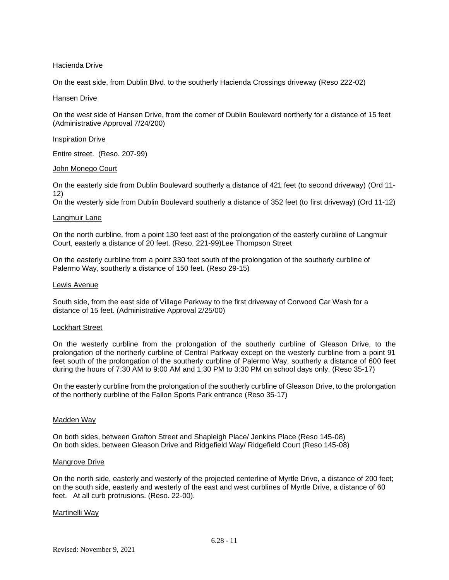# Hacienda Drive

On the east side, from Dublin Blvd. to the southerly Hacienda Crossings driveway (Reso 222-02)

# Hansen Drive

On the west side of Hansen Drive, from the corner of Dublin Boulevard northerly for a distance of 15 feet (Administrative Approval 7/24/200)

# Inspiration Drive

Entire street. (Reso. 207-99)

# John Monego Court

On the easterly side from Dublin Boulevard southerly a distance of 421 feet (to second driveway) (Ord 11- 12)

On the westerly side from Dublin Boulevard southerly a distance of 352 feet (to first driveway) (Ord 11-12)

# Langmuir Lane

On the north curbline, from a point 130 feet east of the prolongation of the easterly curbline of Langmuir Court, easterly a distance of 20 feet. (Reso. 221-99)Lee Thompson Street

On the easterly curbline from a point 330 feet south of the prolongation of the southerly curbline of Palermo Way, southerly a distance of 150 feet. (Reso 29-15)

# Lewis Avenue

South side, from the east side of Village Parkway to the first driveway of Corwood Car Wash for a distance of 15 feet. (Administrative Approval 2/25/00)

# Lockhart Street

On the westerly curbline from the prolongation of the southerly curbline of Gleason Drive, to the prolongation of the northerly curbline of Central Parkway except on the westerly curbline from a point 91 feet south of the prolongation of the southerly curbline of Palermo Way, southerly a distance of 600 feet during the hours of 7:30 AM to 9:00 AM and 1:30 PM to 3:30 PM on school days only. (Reso 35-17)

On the easterly curbline from the prolongation of the southerly curbline of Gleason Drive, to the prolongation of the northerly curbline of the Fallon Sports Park entrance (Reso 35-17)

# Madden Way

On both sides, between Grafton Street and Shapleigh Place/ Jenkins Place (Reso 145-08) On both sides, between Gleason Drive and Ridgefield Way/ Ridgefield Court (Reso 145-08)

# Mangrove Drive

On the north side, easterly and westerly of the projected centerline of Myrtle Drive, a distance of 200 feet; on the south side, easterly and westerly of the east and west curblines of Myrtle Drive, a distance of 60 feet. At all curb protrusions. (Reso. 22-00).

# Martinelli Way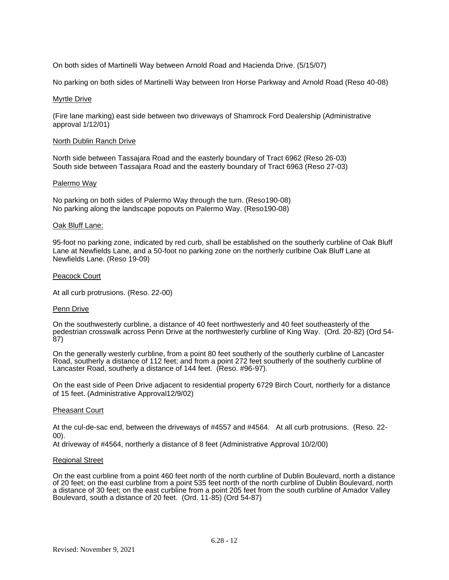On both sides of Martinelli Way between Arnold Road and Hacienda Drive. (5/15/07)

No parking on both sides of Martinelli Way between Iron Horse Parkway and Arnold Road (Reso 40-08)

# Myrtle Drive

(Fire lane marking) east side between two driveways of Shamrock Ford Dealership (Administrative approval 1/12/01)

# North Dublin Ranch Drive

North side between Tassajara Road and the easterly boundary of Tract 6962 (Reso 26-03) South side between Tassajara Road and the easterly boundary of Tract 6963 (Reso 27-03)

# Palermo Way

No parking on both sides of Palermo Way through the turn. (Reso190-08) No parking along the landscape popouts on Palermo Way. (Reso190-08)

# Oak Bluff Lane:

95-foot no parking zone, indicated by red curb, shall be established on the southerly curbline of Oak Bluff Lane at Newfields Lane, and a 50-foot no parking zone on the northerly curlbine Oak Bluff Lane at Newfields Lane. (Reso 19-09)

# Peacock Court

At all curb protrusions. (Reso. 22-00)

# Penn Drive

On the southwesterly curbline, a distance of 40 feet northwesterly and 40 feet southeasterly of the pedestrian crosswalk across Penn Drive at the northwesterly curbline of King Way. (Ord. 20-82) (Ord 54- 87)

On the generally westerly curbline, from a point 80 feet southerly of the southerly curbline of Lancaster Road, southerly a distance of 112 feet; and from a point 272 feet southerly of the southerly curbline of Lancaster Road, southerly a distance of 144 feet. (Reso. #96-97).

On the east side of Peen Drive adjacent to residential property 6729 Birch Court, northerly for a distance of 15 feet. (Administrative Approval12/9/02)

# Pheasant Court

At the cul-de-sac end, between the driveways of #4557 and #4564. At all curb protrusions. (Reso. 22- 00).

At driveway of #4564, northerly a distance of 8 feet (Administrative Approval 10/2/00)

# Regional Street

On the east curbline from a point 460 feet north of the north curbline of Dublin Boulevard, north a distance of 20 feet; on the east curbline from a point 535 feet north of the north curbline of Dublin Boulevard, north a distance of 30 feet; on the east curbline from a point 205 feet from the south curbline of Amador Valley Boulevard, south a distance of 20 feet. (Ord. 11-85) (Ord 54-87)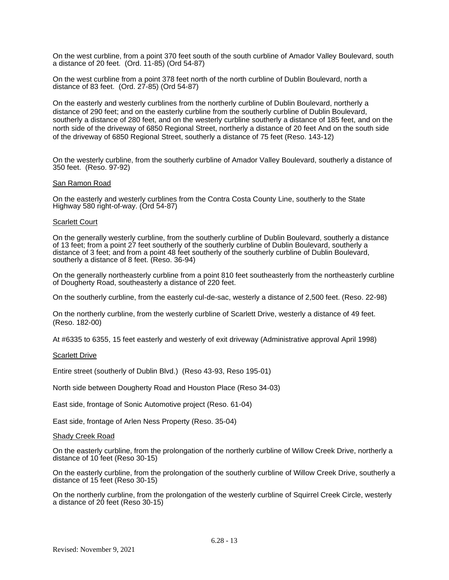On the west curbline, from a point 370 feet south of the south curbline of Amador Valley Boulevard, south a distance of 20 feet. (Ord. 11-85) (Ord 54-87)

On the west curbline from a point 378 feet north of the north curbline of Dublin Boulevard, north a distance of 83 feet. (Ord. 27-85) (Ord 54-87)

On the easterly and westerly curblines from the northerly curbline of Dublin Boulevard, northerly a distance of 290 feet; and on the easterly curbline from the southerly curbline of Dublin Boulevard, southerly a distance of 280 feet, and on the westerly curbline southerly a distance of 185 feet, and on the north side of the driveway of 6850 Regional Street, northerly a distance of 20 feet And on the south side of the driveway of 6850 Regional Street, southerly a distance of 75 feet (Reso. 143-12)

On the westerly curbline, from the southerly curbline of Amador Valley Boulevard, southerly a distance of 350 feet. (Reso. 97-92)

# San Ramon Road

On the easterly and westerly curblines from the Contra Costa County Line, southerly to the State Highway 580 right-of-way. (Ord 54-87)

#### Scarlett Court

On the generally westerly curbline, from the southerly curbline of Dublin Boulevard, southerly a distance of 13 feet; from a point 27 feet southerly of the southerly curbline of Dublin Boulevard, southerly a distance of 3 feet; and from a point 48 feet southerly of the southerly curbline of Dublin Boulevard, southerly a distance of 8 feet. (Reso. 36-94)

On the generally northeasterly curbline from a point 810 feet southeasterly from the northeasterly curbline of Dougherty Road, southeasterly a distance of 220 feet.

On the southerly curbline, from the easterly cul-de-sac, westerly a distance of 2,500 feet. (Reso. 22-98)

On the northerly curbline, from the westerly curbline of Scarlett Drive, westerly a distance of 49 feet. (Reso. 182-00)

At #6335 to 6355, 15 feet easterly and westerly of exit driveway (Administrative approval April 1998)

#### Scarlett Drive

Entire street (southerly of Dublin Blvd.) (Reso 43-93, Reso 195-01)

North side between Dougherty Road and Houston Place (Reso 34-03)

East side, frontage of Sonic Automotive project (Reso. 61-04)

East side, frontage of Arlen Ness Property (Reso. 35-04)

#### Shady Creek Road

On the easterly curbline, from the prolongation of the northerly curbline of Willow Creek Drive, northerly a distance of 10 feet (Reso 30-15)

On the easterly curbline, from the prolongation of the southerly curbline of Willow Creek Drive, southerly a distance of 15 feet (Reso 30-15)

On the northerly curbline, from the prolongation of the westerly curbline of Squirrel Creek Circle, westerly a distance of 20 feet (Reso 30-15)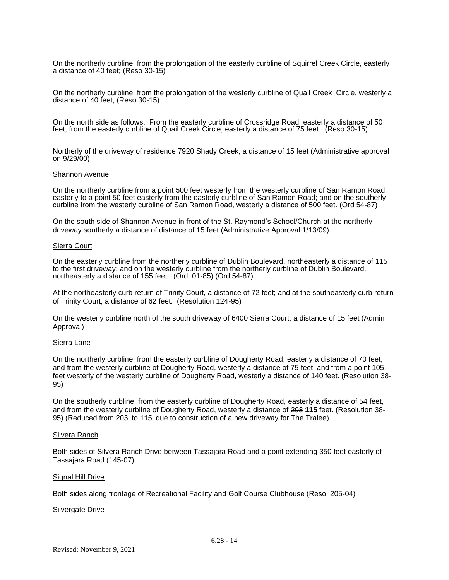On the northerly curbline, from the prolongation of the easterly curbline of Squirrel Creek Circle, easterly a distance of 40 feet; (Reso 30-15)

On the northerly curbline, from the prolongation of the westerly curbline of Quail Creek Circle, westerly a distance of 40 feet; (Reso 30-15)

On the north side as follows: From the easterly curbline of Crossridge Road, easterly a distance of 50 feet; from the easterly curbline of Quail Creek Circle, easterly a distance of 75 feet. (Reso 30-15)

Northerly of the driveway of residence 7920 Shady Creek, a distance of 15 feet (Administrative approval on 9/29/00)

#### Shannon Avenue

On the northerly curbline from a point 500 feet westerly from the westerly curbline of San Ramon Road, easterly to a point 50 feet easterly from the easterly curbline of San Ramon Road; and on the southerly curbline from the westerly curbline of San Ramon Road, westerly a distance of 500 feet. (Ord 54-87)

On the south side of Shannon Avenue in front of the St. Raymond's School/Church at the northerly driveway southerly a distance of distance of 15 feet (Administrative Approval 1/13/09)

# Sierra Court

On the easterly curbline from the northerly curbline of Dublin Boulevard, northeasterly a distance of 115 to the first driveway; and on the westerly curbline from the northerly curbline of Dublin Boulevard, northeasterly a distance of 155 feet. (Ord. 01-85) (Ord 54-87)

At the northeasterly curb return of Trinity Court, a distance of 72 feet; and at the southeasterly curb return of Trinity Court, a distance of 62 feet. (Resolution 124-95)

On the westerly curbline north of the south driveway of 6400 Sierra Court, a distance of 15 feet (Admin Approval)

#### Sierra Lane

On the northerly curbline, from the easterly curbline of Dougherty Road, easterly a distance of 70 feet, and from the westerly curbline of Dougherty Road, westerly a distance of 75 feet, and from a point 105 feet westerly of the westerly curbline of Dougherty Road, westerly a distance of 140 feet. (Resolution 38- 95)

On the southerly curbline, from the easterly curbline of Dougherty Road, easterly a distance of 54 feet, and from the westerly curbline of Dougherty Road, westerly a distance of 203 **115** feet. (Resolution 38- 95) (Reduced from 203' to 115' due to construction of a new driveway for The Tralee).

#### Silvera Ranch

Both sides of Silvera Ranch Drive between Tassajara Road and a point extending 350 feet easterly of Tassajara Road (145-07)

# Signal Hill Drive

Both sides along frontage of Recreational Facility and Golf Course Clubhouse (Reso. 205-04)

# Silvergate Drive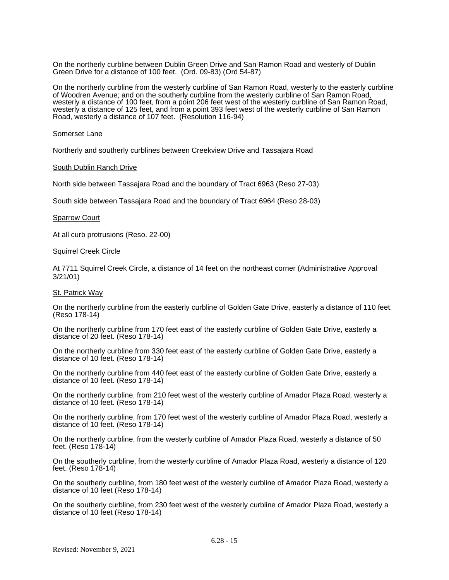On the northerly curbline between Dublin Green Drive and San Ramon Road and westerly of Dublin Green Drive for a distance of 100 feet. (Ord. 09-83) (Ord 54-87)

On the northerly curbline from the westerly curbline of San Ramon Road, westerly to the easterly curbline of Woodren Avenue; and on the southerly curbline from the westerly curbline of San Ramon Road, westerly a distance of 100 feet, from a point 206 feet west of the westerly curbline of San Ramon Road, westerly a distance of 125 feet, and from a point 393 feet west of the westerly curbline of San Ramon Road, westerly a distance of 107 feet. (Resolution 116-94)

#### Somerset Lane

Northerly and southerly curblines between Creekview Drive and Tassajara Road

#### South Dublin Ranch Drive

North side between Tassajara Road and the boundary of Tract 6963 (Reso 27-03)

South side between Tassajara Road and the boundary of Tract 6964 (Reso 28-03)

#### **Sparrow Court**

At all curb protrusions (Reso. 22-00)

#### Squirrel Creek Circle

At 7711 Squirrel Creek Circle, a distance of 14 feet on the northeast corner (Administrative Approval 3/21/01)

#### St. Patrick Way

On the northerly curbline from the easterly curbline of Golden Gate Drive, easterly a distance of 110 feet. (Reso 178-14)

On the northerly curbline from 170 feet east of the easterly curbline of Golden Gate Drive, easterly a distance of 20 feet. (Reso 178-14)

On the northerly curbline from 330 feet east of the easterly curbline of Golden Gate Drive, easterly a distance of 10 feet. (Reso 178-14)

On the northerly curbline from 440 feet east of the easterly curbline of Golden Gate Drive, easterly a distance of 10 feet. (Reso 178-14)

On the northerly curbline, from 210 feet west of the westerly curbline of Amador Plaza Road, westerly a distance of 10 feet. (Reso 178-14)

On the northerly curbline, from 170 feet west of the westerly curbline of Amador Plaza Road, westerly a distance of 10 feet. (Reso 178-14)

On the northerly curbline, from the westerly curbline of Amador Plaza Road, westerly a distance of 50 feet. (Reso 178-14)

On the southerly curbline, from the westerly curbline of Amador Plaza Road, westerly a distance of 120 feet. (Reso 178-14)

On the southerly curbline, from 180 feet west of the westerly curbline of Amador Plaza Road, westerly a distance of 10 feet (Reso 178-14)

On the southerly curbline, from 230 feet west of the westerly curbline of Amador Plaza Road, westerly a distance of 10 feet (Reso 178-14)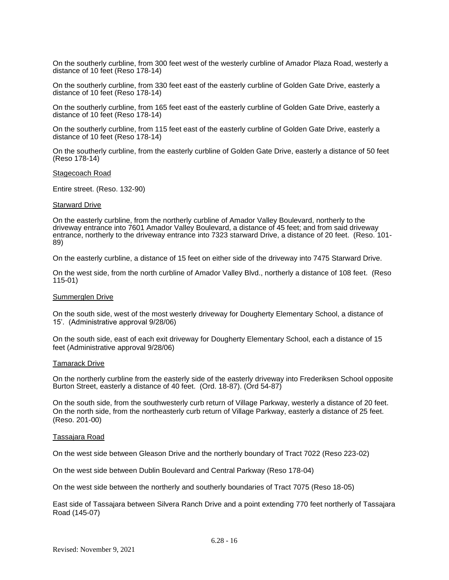On the southerly curbline, from 300 feet west of the westerly curbline of Amador Plaza Road, westerly a distance of 10 feet (Reso 178-14)

On the southerly curbline, from 330 feet east of the easterly curbline of Golden Gate Drive, easterly a distance of 10 feet (Reso 178-14)

On the southerly curbline, from 165 feet east of the easterly curbline of Golden Gate Drive, easterly a distance of 10 feet (Reso 178-14)

On the southerly curbline, from 115 feet east of the easterly curbline of Golden Gate Drive, easterly a distance of 10 feet (Reso 178-14)

On the southerly curbline, from the easterly curbline of Golden Gate Drive, easterly a distance of 50 feet (Reso 178-14)

#### Stagecoach Road

Entire street. (Reso. 132-90)

#### Starward Drive

On the easterly curbline, from the northerly curbline of Amador Valley Boulevard, northerly to the driveway entrance into 7601 Amador Valley Boulevard, a distance of 45 feet; and from said driveway entrance, northerly to the driveway entrance into 7323 starward Drive, a distance of 20 feet. (Reso. 101- 89)

On the easterly curbline, a distance of 15 feet on either side of the driveway into 7475 Starward Drive.

On the west side, from the north curbline of Amador Valley Blvd., northerly a distance of 108 feet. (Reso 115-01)

#### Summerglen Drive

On the south side, west of the most westerly driveway for Dougherty Elementary School, a distance of 15'. (Administrative approval 9/28/06)

On the south side, east of each exit driveway for Dougherty Elementary School, each a distance of 15 feet (Administrative approval 9/28/06)

#### Tamarack Drive

On the northerly curbline from the easterly side of the easterly driveway into Frederiksen School opposite Burton Street, easterly a distance of 40 feet. (Ord. 18-87). (Ord 54-87)

On the south side, from the southwesterly curb return of Village Parkway, westerly a distance of 20 feet. On the north side, from the northeasterly curb return of Village Parkway, easterly a distance of 25 feet. (Reso. 201-00)

#### Tassajara Road

On the west side between Gleason Drive and the northerly boundary of Tract 7022 (Reso 223-02)

On the west side between Dublin Boulevard and Central Parkway (Reso 178-04)

On the west side between the northerly and southerly boundaries of Tract 7075 (Reso 18-05)

East side of Tassajara between Silvera Ranch Drive and a point extending 770 feet northerly of Tassajara Road (145-07)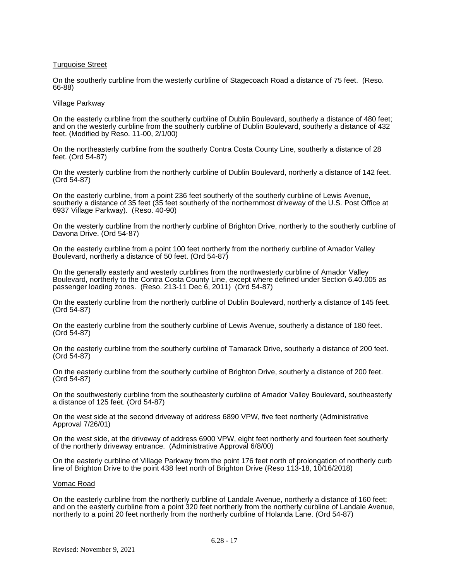# Turquoise Street

On the southerly curbline from the westerly curbline of Stagecoach Road a distance of 75 feet. (Reso. 66-88)

#### Village Parkway

On the easterly curbline from the southerly curbline of Dublin Boulevard, southerly a distance of 480 feet; and on the westerly curbline from the southerly curbline of Dublin Boulevard, southerly a distance of 432 feet. (Modified by Reso. 11-00, 2/1/00)

On the northeasterly curbline from the southerly Contra Costa County Line, southerly a distance of 28 feet. (Ord 54-87)

On the westerly curbline from the northerly curbline of Dublin Boulevard, northerly a distance of 142 feet. (Ord 54-87)

On the easterly curbline, from a point 236 feet southerly of the southerly curbline of Lewis Avenue, southerly a distance of 35 feet (35 feet southerly of the northernmost driveway of the U.S. Post Office at 6937 Village Parkway). (Reso. 40-90)

On the westerly curbline from the northerly curbline of Brighton Drive, northerly to the southerly curbline of Davona Drive. (Ord 54-87)

On the easterly curbline from a point 100 feet northerly from the northerly curbline of Amador Valley Boulevard, northerly a distance of 50 feet. (Ord 54-87)

On the generally easterly and westerly curblines from the northwesterly curbline of Amador Valley Boulevard, northerly to the Contra Costa County Line, except where defined under Section 6.40.005 as passenger loading zones. (Reso. 213-11 Dec 6, 2011) (Ord 54-87)

On the easterly curbline from the northerly curbline of Dublin Boulevard, northerly a distance of 145 feet. (Ord 54-87)

On the easterly curbline from the southerly curbline of Lewis Avenue, southerly a distance of 180 feet. (Ord 54-87)

On the easterly curbline from the southerly curbline of Tamarack Drive, southerly a distance of 200 feet. (Ord 54-87)

On the easterly curbline from the southerly curbline of Brighton Drive, southerly a distance of 200 feet. (Ord 54-87)

On the southwesterly curbline from the southeasterly curbline of Amador Valley Boulevard, southeasterly a distance of 125 feet. (Ord 54-87)

On the west side at the second driveway of address 6890 VPW, five feet northerly (Administrative Approval 7/26/01)

On the west side, at the driveway of address 6900 VPW, eight feet northerly and fourteen feet southerly of the northerly driveway entrance. (Administrative Approval 6/8/00)

On the easterly curbline of Village Parkway from the point 176 feet north of prolongation of northerly curb line of Brighton Drive to the point 438 feet north of Brighton Drive (Reso 113-18, 10/16/2018)

#### Vomac Road

On the easterly curbline from the northerly curbline of Landale Avenue, northerly a distance of 160 feet; and on the easterly curbline from a point 320 feet northerly from the northerly curbline of Landale Avenue, northerly to a point 20 feet northerly from the northerly curbline of Holanda Lane. (Ord 54-87)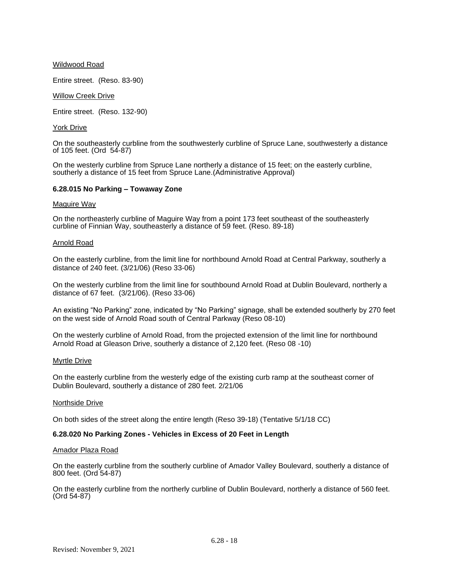# Wildwood Road

Entire street. (Reso. 83-90)

# Willow Creek Drive

Entire street. (Reso. 132-90)

# York Drive

On the southeasterly curbline from the southwesterly curbline of Spruce Lane, southwesterly a distance of 105 feet. (Ord 54-87)

On the westerly curbline from Spruce Lane northerly a distance of 15 feet; on the easterly curbline, southerly a distance of 15 feet from Spruce Lane. (Administrative Approval)

# **6.28.015 No Parking – Towaway Zone**

# Maguire Way

On the northeasterly curbline of Maguire Way from a point 173 feet southeast of the southeasterly curbline of Finnian Way, southeasterly a distance of 59 feet. (Reso. 89-18)

# Arnold Road

On the easterly curbline, from the limit line for northbound Arnold Road at Central Parkway, southerly a distance of 240 feet. (3/21/06) (Reso 33-06)

On the westerly curbline from the limit line for southbound Arnold Road at Dublin Boulevard, northerly a distance of 67 feet. (3/21/06). (Reso 33-06)

An existing "No Parking" zone, indicated by "No Parking" signage, shall be extended southerly by 270 feet on the west side of Arnold Road south of Central Parkway (Reso 08-10)

On the westerly curbline of Arnold Road, from the projected extension of the limit line for northbound Arnold Road at Gleason Drive, southerly a distance of 2,120 feet. (Reso 08 -10)

# Myrtle Drive

On the easterly curbline from the westerly edge of the existing curb ramp at the southeast corner of Dublin Boulevard, southerly a distance of 280 feet. 2/21/06

# Northside Drive

On both sides of the street along the entire length (Reso 39-18) (Tentative 5/1/18 CC)

# **6.28.020 No Parking Zones - Vehicles in Excess of 20 Feet in Length**

# Amador Plaza Road

On the easterly curbline from the southerly curbline of Amador Valley Boulevard, southerly a distance of 800 feet. (Ord 54-87)

On the easterly curbline from the northerly curbline of Dublin Boulevard, northerly a distance of 560 feet. (Ord 54-87)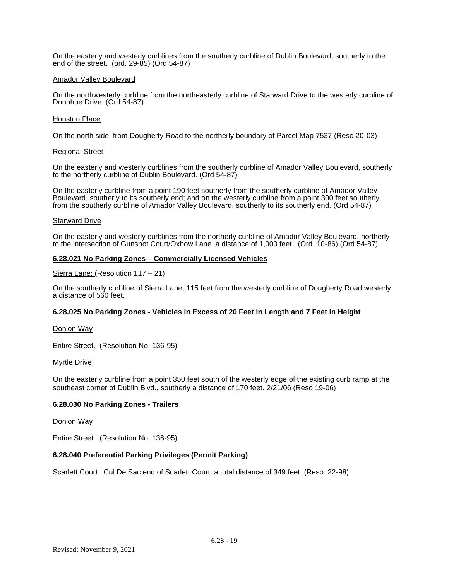On the easterly and westerly curblines from the southerly curbline of Dublin Boulevard, southerly to the end of the street. (ord. 29-85) (Ord 54-87)

# Amador Valley Boulevard

On the northwesterly curbline from the northeasterly curbline of Starward Drive to the westerly curbline of Donohue Drive. (Ord 54-87)

#### Houston Place

On the north side, from Dougherty Road to the northerly boundary of Parcel Map 7537 (Reso 20-03)

#### Regional Street

On the easterly and westerly curblines from the southerly curbline of Amador Valley Boulevard, southerly to the northerly curbline of Dublin Boulevard. (Ord 54-87)

On the easterly curbline from a point 190 feet southerly from the southerly curbline of Amador Valley Boulevard, southerly to its southerly end; and on the westerly curbline from a point 300 feet southerly from the southerly curbline of Amador Valley Boulevard, southerly to its southerly end. (Ord 54-87)

#### Starward Drive

On the easterly and westerly curblines from the northerly curbline of Amador Valley Boulevard, northerly to the intersection of Gunshot Court/Oxbow Lane, a distance of 1,000 feet. (Ord. 10-86) (Ord 54-87)

# **6.28.021 No Parking Zones – Commercially Licensed Vehicles**

Sierra Lane: (Resolution 117 – 21)

On the southerly curbline of Sierra Lane, 115 feet from the westerly curbline of Dougherty Road westerly a distance of 560 feet.

# **6.28.025 No Parking Zones - Vehicles in Excess of 20 Feet in Length and 7 Feet in Height**

Donlon Way

Entire Street. (Resolution No. 136-95)

# **Myrtle Drive**

On the easterly curbline from a point 350 feet south of the westerly edge of the existing curb ramp at the southeast corner of Dublin Blvd., southerly a distance of 170 feet. 2/21/06 (Reso 19-06)

# **6.28.030 No Parking Zones - Trailers**

# Donlon Way

Entire Street. (Resolution No. 136-95)

# **6.28.040 Preferential Parking Privileges (Permit Parking)**

Scarlett Court: Cul De Sac end of Scarlett Court, a total distance of 349 feet. (Reso. 22-98)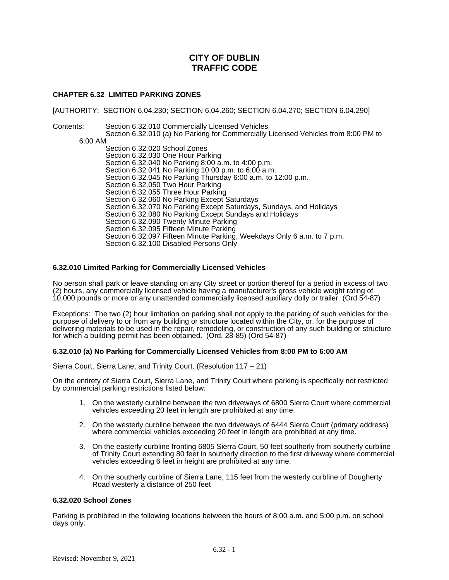# **CHAPTER 6.32 LIMITED PARKING ZONES**

[AUTHORITY: SECTION 6.04.230; SECTION 6.04.260; SECTION 6.04.270; SECTION 6.04.290]

Contents: Section 6.32.010 Commercially Licensed Vehicles Section 6.32.010 (a) No Parking for Commercially Licensed Vehicles from 8:00 PM to 6:00 AM Section 6.32.020 School Zones Section 6.32.030 One Hour Parking Section 6.32.040 No Parking 8:00 a.m. to 4:00 p.m. Section 6.32.041 No Parking 10:00 p.m. to 6:00 a.m. Section 6.32.045 No Parking Thursday 6:00 a.m. to 12:00 p.m. Section 6.32.050 Two Hour Parking Section 6.32.055 Three Hour Parking Section 6.32.060 No Parking Except Saturdays Section 6.32.070 No Parking Except Saturdays, Sundays, and Holidays Section 6.32.080 No Parking Except Sundays and Holidays Section 6.32.090 Twenty Minute Parking Section 6.32.095 Fifteen Minute Parking Section 6.32.097 Fifteen Minute Parking, Weekdays Only 6 a.m. to 7 p.m. Section 6.32.100 Disabled Persons Only

# **6.32.010 Limited Parking for Commercially Licensed Vehicles**

No person shall park or leave standing on any City street or portion thereof for a period in excess of two (2) hours, any commercially licensed vehicle having a manufacturer's gross vehicle weight rating of 10,000 pounds or more or any unattended commercially licensed auxiliary dolly or trailer. (Ord 54-87)

Exceptions: The two (2) hour limitation on parking shall not apply to the parking of such vehicles for the purpose of delivery to or from any building or structure located within the City, or, for the purpose of delivering materials to be used in the repair, remodeling, or construction of any such building or structure for which a building permit has been obtained. (Ord. 28-85) (Ord 54-87)

# **6.32.010 (a) No Parking for Commercially Licensed Vehicles from 8:00 PM to 6:00 AM**

Sierra Court, Sierra Lane, and Trinity Court. (Resolution 117 – 21)

On the entirety of Sierra Court, Sierra Lane, and Trinity Court where parking is specifically not restricted by commercial parking restrictions listed below:

- 1. On the westerly curbline between the two driveways of 6800 Sierra Court where commercial vehicles exceeding 20 feet in length are prohibited at any time.
- 2. On the westerly curbline between the two driveways of 6444 Sierra Court (primary address) where commercial vehicles exceeding 20 feet in length are prohibited at any time.
- 3. On the easterly curbline fronting 6805 Sierra Court, 50 feet southerly from southerly curbline of Trinity Court extending 80 feet in southerly direction to the first driveway where commercial vehicles exceeding 6 feet in height are prohibited at any time.
- 4. On the southerly curbline of Sierra Lane, 115 feet from the westerly curbline of Dougherty Road westerly a distance of 250 feet

# **6.32.020 School Zones**

Parking is prohibited in the following locations between the hours of 8:00 a.m. and 5:00 p.m. on school days only: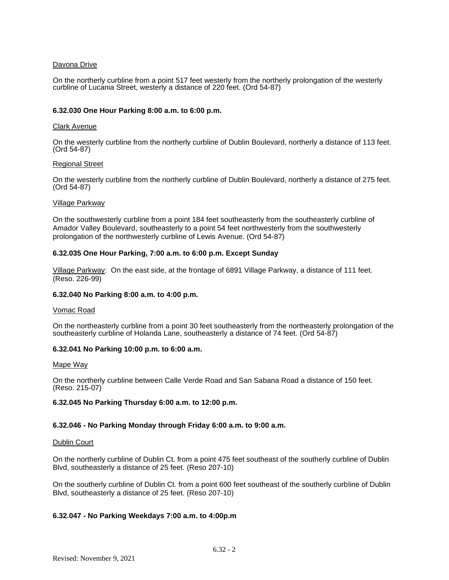# Davona Drive

On the northerly curbline from a point 517 feet westerly from the northerly prolongation of the westerly curbline of Lucania Street, westerly a distance of 220 feet. (Ord 54-87)

# **6.32.030 One Hour Parking 8:00 a.m. to 6:00 p.m.**

# Clark Avenue

On the westerly curbline from the northerly curbline of Dublin Boulevard, northerly a distance of 113 feet. (Ord 54-87)

# Regional Street

On the westerly curbline from the northerly curbline of Dublin Boulevard, northerly a distance of 275 feet. (Ord 54-87)

# Village Parkway

On the southwesterly curbline from a point 184 feet southeasterly from the southeasterly curbline of Amador Valley Boulevard, southeasterly to a point 54 feet northwesterly from the southwesterly prolongation of the northwesterly curbline of Lewis Avenue. (Ord 54-87)

# **6.32.035 One Hour Parking, 7:00 a.m. to 6:00 p.m. Except Sunday**

Village Parkway: On the east side, at the frontage of 6891 Village Parkway, a distance of 111 feet. (Reso. 226-99)

# **6.32.040 No Parking 8:00 a.m. to 4:00 p.m.**

# Vomac Road

On the northeasterly curbline from a point 30 feet southeasterly from the northeasterly prolongation of the southeasterly curbline of Holanda Lane, southeasterly a distance of 74 feet. (Ord 54-87)

# **6.32.041 No Parking 10:00 p.m. to 6:00 a.m.**

Mape Way

On the northerly curbline between Calle Verde Road and San Sabana Road a distance of 150 feet. (Reso. 215-07)

# **6.32.045 No Parking Thursday 6:00 a.m. to 12:00 p.m.**

# **6.32.046 - No Parking Monday through Friday 6:00 a.m. to 9:00 a.m.**

# Dublin Court

On the northerly curbline of Dublin Ct. from a point 475 feet southeast of the southerly curbline of Dublin Blvd, southeasterly a distance of 25 feet. (Reso 207-10)

On the southerly curbline of Dublin Ct. from a point 600 feet southeast of the southerly curbline of Dublin Blvd, southeasterly a distance of 25 feet. (Reso 207-10)

# **6.32.047 - No Parking Weekdays 7:00 a.m. to 4:00p.m**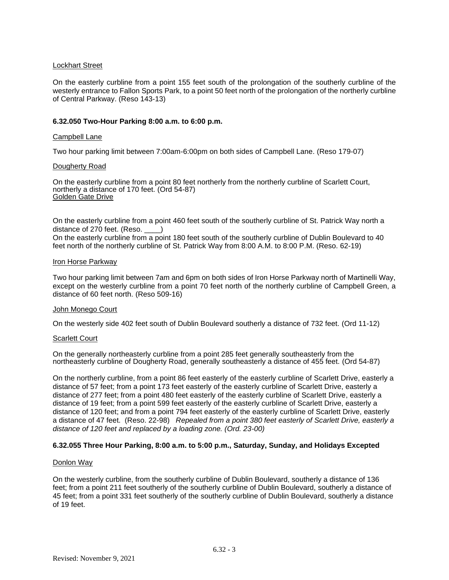# Lockhart Street

On the easterly curbline from a point 155 feet south of the prolongation of the southerly curbline of the westerly entrance to Fallon Sports Park, to a point 50 feet north of the prolongation of the northerly curbline of Central Parkway. (Reso 143-13)

# **6.32.050 Two-Hour Parking 8:00 a.m. to 6:00 p.m.**

# Campbell Lane

Two hour parking limit between 7:00am-6:00pm on both sides of Campbell Lane. (Reso 179-07)

# Dougherty Road

On the easterly curbline from a point 80 feet northerly from the northerly curbline of Scarlett Court, northerly a distance of 170 feet. (Ord 54-87) Golden Gate Drive

On the easterly curbline from a point 460 feet south of the southerly curbline of St. Patrick Way north a distance of 270 feet. (Reso.  $\qquad)$ 

On the easterly curbline from a point 180 feet south of the southerly curbline of Dublin Boulevard to 40 feet north of the northerly curbline of St. Patrick Way from 8:00 A.M. to 8:00 P.M. (Reso. 62-19)

# Iron Horse Parkway

Two hour parking limit between 7am and 6pm on both sides of Iron Horse Parkway north of Martinelli Way, except on the westerly curbline from a point 70 feet north of the northerly curbline of Campbell Green, a distance of 60 feet north. (Reso 509-16)

# John Monego Court

On the westerly side 402 feet south of Dublin Boulevard southerly a distance of 732 feet. (Ord 11-12)

# Scarlett Court

On the generally northeasterly curbline from a point 285 feet generally southeasterly from the northeasterly curbline of Dougherty Road, generally southeasterly a distance of 455 feet. (Ord 54-87)

On the northerly curbline, from a point 86 feet easterly of the easterly curbline of Scarlett Drive, easterly a distance of 57 feet; from a point 173 feet easterly of the easterly curbline of Scarlett Drive, easterly a distance of 277 feet; from a point 480 feet easterly of the easterly curbline of Scarlett Drive, easterly a distance of 19 feet; from a point 599 feet easterly of the easterly curbline of Scarlett Drive, easterly a distance of 120 feet; and from a point 794 feet easterly of the easterly curbline of Scarlett Drive, easterly a distance of 47 feet. (Reso. 22-98) *Repealed from a point 380 feet easterly of Scarlett Drive, easterly a distance of 120 feet and replaced by a loading zone. (Ord. 23-00)*

# **6.32.055 Three Hour Parking, 8:00 a.m. to 5:00 p.m., Saturday, Sunday, and Holidays Excepted**

# Donlon Way

On the westerly curbline, from the southerly curbline of Dublin Boulevard, southerly a distance of 136 feet; from a point 211 feet southerly of the southerly curbline of Dublin Boulevard, southerly a distance of 45 feet; from a point 331 feet southerly of the southerly curbline of Dublin Boulevard, southerly a distance of 19 feet.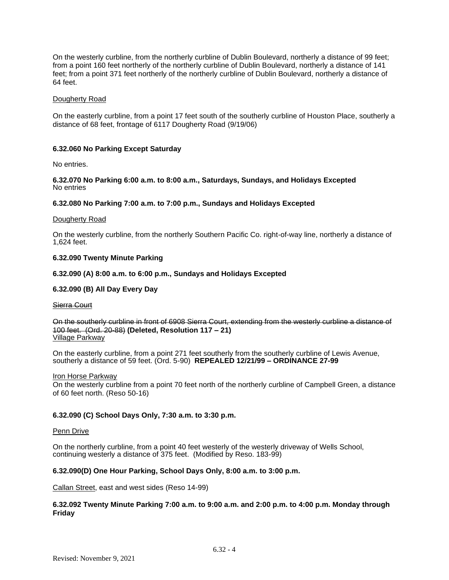On the westerly curbline, from the northerly curbline of Dublin Boulevard, northerly a distance of 99 feet; from a point 160 feet northerly of the northerly curbline of Dublin Boulevard, northerly a distance of 141 feet; from a point 371 feet northerly of the northerly curbline of Dublin Boulevard, northerly a distance of 64 feet.

# Dougherty Road

On the easterly curbline, from a point 17 feet south of the southerly curbline of Houston Place, southerly a distance of 68 feet, frontage of 6117 Dougherty Road (9/19/06)

# **6.32.060 No Parking Except Saturday**

No entries.

**6.32.070 No Parking 6:00 a.m. to 8:00 a.m., Saturdays, Sundays, and Holidays Excepted** No entries

# **6.32.080 No Parking 7:00 a.m. to 7:00 p.m., Sundays and Holidays Excepted**

#### Dougherty Road

On the westerly curbline, from the northerly Southern Pacific Co. right-of-way line, northerly a distance of 1,624 feet.

# **6.32.090 Twenty Minute Parking**

# **6.32.090 (A) 8:00 a.m. to 6:00 p.m., Sundays and Holidays Excepted**

# **6.32.090 (B) All Day Every Day**

# Sierra Court

On the southerly curbline in front of 6908 Sierra Court, extending from the westerly curbline a distance of 100 feet. (Ord. 20-88) **(Deleted, Resolution 117 – 21)** Village Parkway

On the easterly curbline, from a point 271 feet southerly from the southerly curbline of Lewis Avenue, southerly a distance of 59 feet. (Ord. 5-90) **REPEALED 12/21/99 – ORDINANCE 27-99**

# Iron Horse Parkway

On the westerly curbline from a point 70 feet north of the northerly curbline of Campbell Green, a distance of 60 feet north. (Reso 50-16)

# **6.32.090 (C) School Days Only, 7:30 a.m. to 3:30 p.m.**

# Penn Drive

On the northerly curbline, from a point 40 feet westerly of the westerly driveway of Wells School, continuing westerly a distance of 375 feet. (Modified by Reso. 183-99)

# **6.32.090(D) One Hour Parking, School Days Only, 8:00 a.m. to 3:00 p.m.**

Callan Street, east and west sides (Reso 14-99)

# **6.32.092 Twenty Minute Parking 7:00 a.m. to 9:00 a.m. and 2:00 p.m. to 4:00 p.m. Monday through Friday**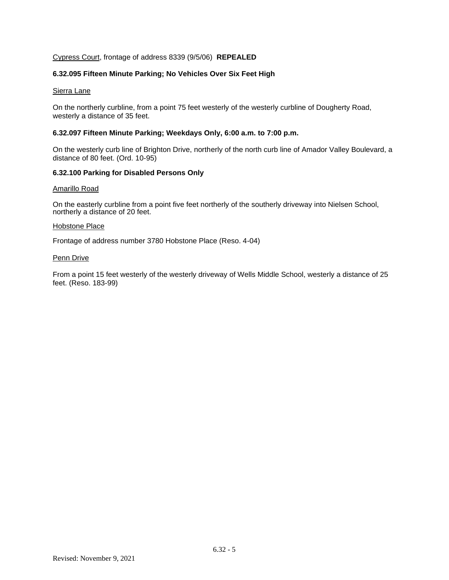# Cypress Court, frontage of address 8339 (9/5/06) **REPEALED**

# **6.32.095 Fifteen Minute Parking; No Vehicles Over Six Feet High**

# Sierra Lane

On the northerly curbline, from a point 75 feet westerly of the westerly curbline of Dougherty Road, westerly a distance of 35 feet.

# **6.32.097 Fifteen Minute Parking; Weekdays Only, 6:00 a.m. to 7:00 p.m.**

On the westerly curb line of Brighton Drive, northerly of the north curb line of Amador Valley Boulevard, a distance of 80 feet. (Ord. 10-95)

# **6.32.100 Parking for Disabled Persons Only**

# Amarillo Road

On the easterly curbline from a point five feet northerly of the southerly driveway into Nielsen School, northerly a distance of 20 feet.

# Hobstone Place

Frontage of address number 3780 Hobstone Place (Reso. 4-04)

# **Penn Drive**

From a point 15 feet westerly of the westerly driveway of Wells Middle School, westerly a distance of 25 feet. (Reso. 183-99)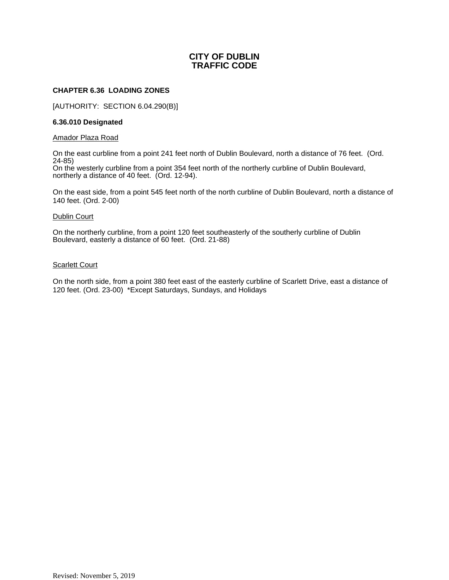# **CHAPTER 6.36 LOADING ZONES**

[AUTHORITY: SECTION 6.04.290(B)]

# **6.36.010 Designated**

# Amador Plaza Road

On the east curbline from a point 241 feet north of Dublin Boulevard, north a distance of 76 feet. (Ord. 24-85)

On the westerly curbline from a point 354 feet north of the northerly curbline of Dublin Boulevard, northerly a distance of 40 feet. (Ord. 12-94).

On the east side, from a point 545 feet north of the north curbline of Dublin Boulevard, north a distance of 140 feet. (Ord. 2-00)

# Dublin Court

On the northerly curbline, from a point 120 feet southeasterly of the southerly curbline of Dublin Boulevard, easterly a distance of 60 feet. (Ord. 21-88)

# **Scarlett Court**

On the north side, from a point 380 feet east of the easterly curbline of Scarlett Drive, east a distance of 120 feet. (Ord. 23-00) \*Except Saturdays, Sundays, and Holidays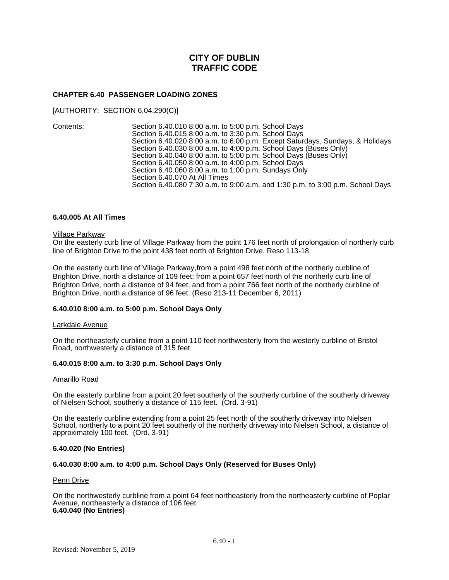# **CHAPTER 6.40 PASSENGER LOADING ZONES**

[AUTHORITY: SECTION 6.04.290(C)]

Contents: Section 6.40.010 8:00 a.m. to 5:00 p.m. School Days Section 6.40.015 8:00 a.m. to 3:30 p.m. School Days Section 6.40.020 8:00 a.m. to 6:00 p.m. Except Saturdays, Sundays, & Holidays Section 6.40.030 8:00 a.m. to 4:00 p.m. School Days (Buses Only) Section 6.40.040 8:00 a.m. to 5:00 p.m. School Days (Buses Only) Section 6.40.050 8:00 a.m. to 4:00 p.m. School Days Section 6.40.060 8:00 a.m. to 1:00 p.m. Sundays Only Section 6.40.070 At All Times Section 6.40.080 7:30 a.m. to 9:00 a.m. and 1:30 p.m. to 3:00 p.m. School Days

# **6.40.005 At All Times**

#### Village Parkway

On the easterly curb line of Village Parkway from the point 176 feet north of prolongation of northerly curb line of Brighton Drive to the point 438 feet north of Brighton Drive. Reso 113-18

On the easterly curb line of Village Parkway,from a point 498 feet north of the northerly curbline of Brighton Drive, north a distance of 109 feet; from a point 657 feet north of the northerly curb line of Brighton Drive, north a distance of 94 feet; and from a point 766 feet north of the northerly curbline of Brighton Drive, north a distance of 96 feet. (Reso 213-11 December 6, 2011)

# **6.40.010 8:00 a.m. to 5:00 p.m. School Days Only**

# Larkdale Avenue

On the northeasterly curbline from a point 110 feet northwesterly from the westerly curbline of Bristol Road, northwesterly a distance of 315 feet.

# **6.40.015 8:00 a.m. to 3:30 p.m. School Days Only**

# Amarillo Road

On the easterly curbline from a point 20 feet southerly of the southerly curbline of the southerly driveway of Nielsen School, southerly a distance of 115 feet. (Ord. 3-91)

On the easterly curbline extending from a point 25 feet north of the southerly driveway into Nielsen School, northerly to a point 20 feet southerly of the northerly driveway into Nielsen School, a distance of approximately 100 feet. (Ord. 3-91)

# **6.40.020 (No Entries)**

# **6.40.030 8:00 a.m. to 4:00 p.m. School Days Only (Reserved for Buses Only)**

#### Penn Drive

On the northwesterly curbline from a point 64 feet northeasterly from the northeasterly curbline of Poplar Avenue, northeasterly a distance of 106 feet. **6.40.040 (No Entries)**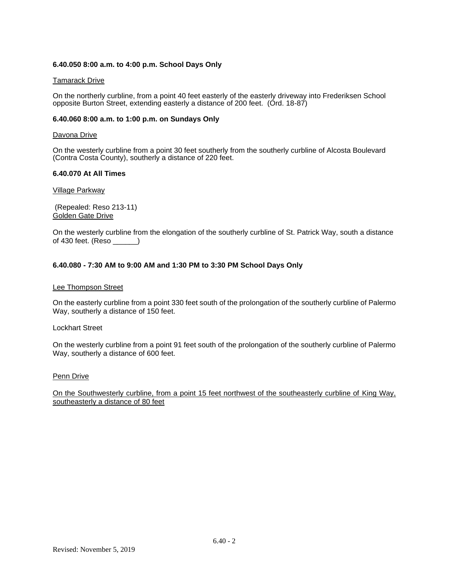# **6.40.050 8:00 a.m. to 4:00 p.m. School Days Only**

# Tamarack Drive

On the northerly curbline, from a point 40 feet easterly of the easterly driveway into Frederiksen School opposite Burton Street, extending easterly a distance of 200 feet. (Ord. 18-87)

# **6.40.060 8:00 a.m. to 1:00 p.m. on Sundays Only**

# Davona Drive

On the westerly curbline from a point 30 feet southerly from the southerly curbline of Alcosta Boulevard (Contra Costa County), southerly a distance of 220 feet.

# **6.40.070 At All Times**

# Village Parkway

(Repealed: Reso 213-11) Golden Gate Drive

On the westerly curbline from the elongation of the southerly curbline of St. Patrick Way, south a distance of 430 feet. (Reso \_\_\_\_\_\_)

# **6.40.080 - 7:30 AM to 9:00 AM and 1:30 PM to 3:30 PM School Days Only**

# Lee Thompson Street

On the easterly curbline from a point 330 feet south of the prolongation of the southerly curbline of Palermo Way, southerly a distance of 150 feet.

# Lockhart Street

On the westerly curbline from a point 91 feet south of the prolongation of the southerly curbline of Palermo Way, southerly a distance of 600 feet.

# Penn Drive

On the Southwesterly curbline, from a point 15 feet northwest of the southeasterly curbline of King Way, southeasterly a distance of 80 feet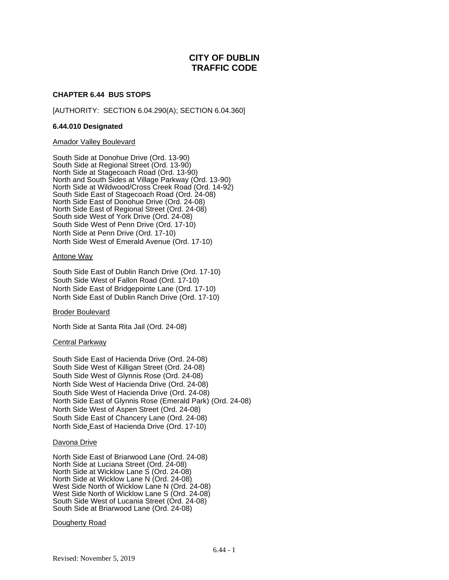# **CHAPTER 6.44 BUS STOPS**

[AUTHORITY: SECTION 6.04.290(A); SECTION 6.04.360]

# **6.44.010 Designated**

# Amador Valley Boulevard

South Side at Donohue Drive (Ord. 13-90) South Side at Regional Street (Ord. 13-90) North Side at Stagecoach Road (Ord. 13-90) North and South Sides at Village Parkway (Ord. 13-90) North Side at Wildwood/Cross Creek Road (Ord. 14-92) South Side East of Stagecoach Road (Ord. 24-08) North Side East of Donohue Drive (Ord. 24-08) North Side East of Regional Street (Ord. 24-08) South side West of York Drive (Ord. 24-08) South Side West of Penn Drive (Ord. 17-10) North Side at Penn Drive (Ord. 17-10) North Side West of Emerald Avenue (Ord. 17-10)

# Antone Way

South Side East of Dublin Ranch Drive (Ord. 17-10) South Side West of Fallon Road (Ord. 17-10) North Side East of Bridgepointe Lane (Ord. 17-10) North Side East of Dublin Ranch Drive (Ord. 17-10)

# Broder Boulevard

North Side at Santa Rita Jail (Ord. 24-08)

# Central Parkway

South Side East of Hacienda Drive (Ord. 24-08) South Side West of Killigan Street (Ord. 24-08) South Side West of Glynnis Rose (Ord. 24-08) North Side West of Hacienda Drive (Ord. 24-08) South Side West of Hacienda Drive (Ord. 24-08) North Side East of Glynnis Rose (Emerald Park) (Ord. 24-08) North Side West of Aspen Street (Ord. 24-08) South Side East of Chancery Lane (Ord. 24-08) North Side East of Hacienda Drive (Ord. 17-10)

# Davona Drive

North Side East of Briarwood Lane (Ord. 24-08) North Side at Luciana Street (Ord. 24-08) North Side at Wicklow Lane S (Ord. 24-08) North Side at Wicklow Lane N (Ord. 24-08) West Side North of Wicklow Lane N (Ord. 24-08) West Side North of Wicklow Lane S (Ord. 24-08) South Side West of Lucania Street (Ord. 24-08) South Side at Briarwood Lane (Ord. 24-08)

# **Dougherty Road**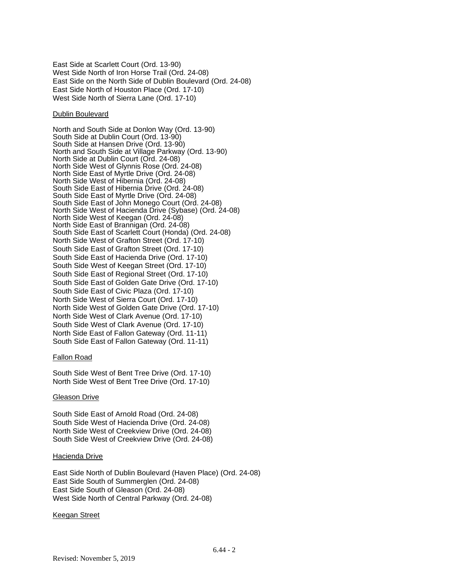East Side at Scarlett Court (Ord. 13-90) West Side North of Iron Horse Trail (Ord. 24-08) East Side on the North Side of Dublin Boulevard (Ord. 24-08) East Side North of Houston Place (Ord. 17-10) West Side North of Sierra Lane (Ord. 17-10)

# Dublin Boulevard

North and South Side at Donlon Way (Ord. 13-90) South Side at Dublin Court (Ord. 13-90) South Side at Hansen Drive (Ord. 13-90) North and South Side at Village Parkway (Ord. 13-90) North Side at Dublin Court (Ord. 24-08) North Side West of Glynnis Rose (Ord. 24-08) North Side East of Myrtle Drive (Ord. 24-08) North Side West of Hibernia (Ord. 24-08) South Side East of Hibernia Drive (Ord. 24-08) South Side East of Myrtle Drive (Ord. 24-08) South Side East of John Monego Court (Ord. 24-08) North Side West of Hacienda Drive (Sybase) (Ord. 24-08) North Side West of Keegan (Ord. 24-08) North Side East of Brannigan (Ord. 24-08) South Side East of Scarlett Court (Honda) (Ord. 24-08) North Side West of Grafton Street (Ord. 17-10) South Side East of Grafton Street (Ord. 17-10) South Side East of Hacienda Drive (Ord. 17-10) South Side West of Keegan Street (Ord. 17-10) South Side East of Regional Street (Ord. 17-10) South Side East of Golden Gate Drive (Ord. 17-10) South Side East of Civic Plaza (Ord. 17-10) North Side West of Sierra Court (Ord. 17-10) North Side West of Golden Gate Drive (Ord. 17-10) North Side West of Clark Avenue (Ord. 17-10) South Side West of Clark Avenue (Ord. 17-10) North Side East of Fallon Gateway (Ord. 11-11) South Side East of Fallon Gateway (Ord. 11-11)

# Fallon Road

South Side West of Bent Tree Drive (Ord. 17-10) North Side West of Bent Tree Drive (Ord. 17-10)

# Gleason Drive

South Side East of Arnold Road (Ord. 24-08) South Side West of Hacienda Drive (Ord. 24-08) North Side West of Creekview Drive (Ord. 24-08) South Side West of Creekview Drive (Ord. 24-08)

# Hacienda Drive

East Side North of Dublin Boulevard (Haven Place) (Ord. 24-08) East Side South of Summerglen (Ord. 24-08) East Side South of Gleason (Ord. 24-08) West Side North of Central Parkway (Ord. 24-08)

# Keegan Street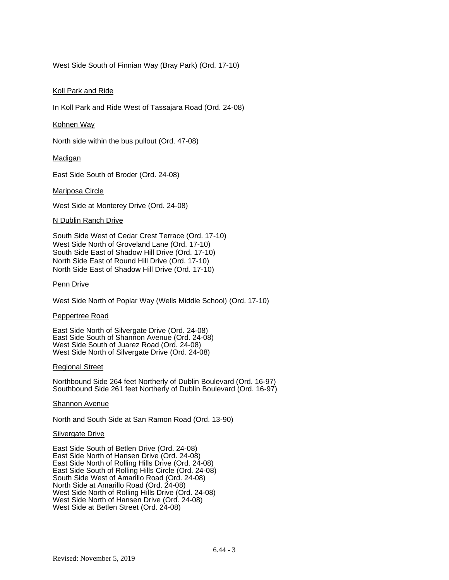West Side South of Finnian Way (Bray Park) (Ord. 17-10)

# Koll Park and Ride

In Koll Park and Ride West of Tassajara Road (Ord. 24-08)

# Kohnen Way

North side within the bus pullout (Ord. 47-08)

# Madigan

East Side South of Broder (Ord. 24-08)

# Mariposa Circle

West Side at Monterey Drive (Ord. 24-08)

# N Dublin Ranch Drive

South Side West of Cedar Crest Terrace (Ord. 17-10) West Side North of Groveland Lane (Ord. 17-10) South Side East of Shadow Hill Drive (Ord. 17-10) North Side East of Round Hill Drive (Ord. 17-10) North Side East of Shadow Hill Drive (Ord. 17-10)

# Penn Drive

West Side North of Poplar Way (Wells Middle School) (Ord. 17-10)

# Peppertree Road

East Side North of Silvergate Drive (Ord. 24-08) East Side South of Shannon Avenue (Ord. 24-08) West Side South of Juarez Road (Ord. 24-08) West Side North of Silvergate Drive (Ord. 24-08)

# Regional Street

Northbound Side 264 feet Northerly of Dublin Boulevard (Ord. 16-97) Southbound Side 261 feet Northerly of Dublin Boulevard (Ord. 16-97)

# Shannon Avenue

North and South Side at San Ramon Road (Ord. 13-90)

# **Silvergate Drive**

East Side South of Betlen Drive (Ord. 24-08) East Side North of Hansen Drive (Ord. 24-08) East Side North of Rolling Hills Drive (Ord. 24-08) East Side South of Rolling Hills Circle (Ord. 24-08) South Side West of Amarillo Road (Ord. 24-08) North Side at Amarillo Road (Ord. 24-08) West Side North of Rolling Hills Drive (Ord. 24-08) West Side North of Hansen Drive (Ord. 24-08) West Side at Betlen Street (Ord. 24-08)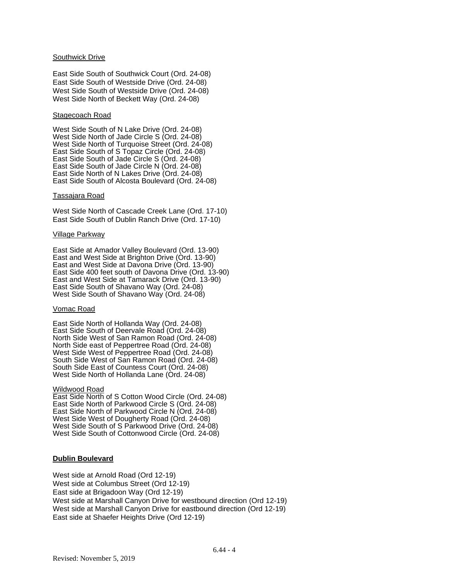# Southwick Drive

East Side South of Southwick Court (Ord. 24-08) East Side South of Westside Drive (Ord. 24-08) West Side South of Westside Drive (Ord. 24-08) West Side North of Beckett Way (Ord. 24-08)

# Stagecoach Road

West Side South of N Lake Drive (Ord. 24-08) West Side North of Jade Circle S (Ord. 24-08) West Side North of Turquoise Street (Ord. 24-08) East Side South of S Topaz Circle (Ord. 24-08) East Side South of Jade Circle S (Ord. 24-08) East Side South of Jade Circle N (Ord. 24-08) East Side North of N Lakes Drive (Ord. 24-08) East Side South of Alcosta Boulevard (Ord. 24-08)

# Tassajara Road

West Side North of Cascade Creek Lane (Ord. 17-10) East Side South of Dublin Ranch Drive (Ord. 17-10)

# Village Parkway

East Side at Amador Valley Boulevard (Ord. 13-90) East and West Side at Brighton Drive (Ord. 13-90) East and West Side at Davona Drive (Ord. 13-90) East Side 400 feet south of Davona Drive (Ord. 13-90) East and West Side at Tamarack Drive (Ord. 13-90) East Side South of Shavano Way (Ord. 24-08) West Side South of Shavano Way (Ord. 24-08)

# Vomac Road

East Side North of Hollanda Way (Ord. 24-08) East Side South of Deervale Road (Ord. 24-08) North Side West of San Ramon Road (Ord. 24-08) North Side east of Peppertree Road (Ord. 24-08) West Side West of Peppertree Road (Ord. 24-08) South Side West of San Ramon Road (Ord. 24-08) South Side East of Countess Court (Ord. 24-08) West Side North of Hollanda Lane (Ord. 24-08)

# Wildwood Road

East Side North of S Cotton Wood Circle (Ord. 24-08) East Side North of Parkwood Circle S (Ord. 24-08) East Side North of Parkwood Circle N (Ord. 24-08) West Side West of Dougherty Road (Ord. 24-08) West Side South of S Parkwood Drive (Ord. 24-08) West Side South of Cottonwood Circle (Ord. 24-08)

# **Dublin Boulevard**

West side at Arnold Road (Ord 12-19) West side at Columbus Street (Ord 12-19) East side at Brigadoon Way (Ord 12-19) West side at Marshall Canyon Drive for westbound direction (Ord 12-19) West side at Marshall Canyon Drive for eastbound direction (Ord 12-19) East side at Shaefer Heights Drive (Ord 12-19)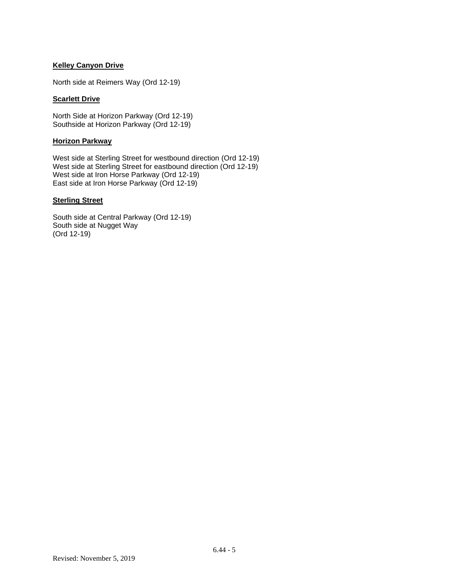# **Kelley Canyon Drive**

North side at Reimers Way (Ord 12-19)

# **Scarlett Drive**

North Side at Horizon Parkway (Ord 12-19) Southside at Horizon Parkway (Ord 12-19)

# **Horizon Parkway**

West side at Sterling Street for westbound direction (Ord 12-19) West side at Sterling Street for eastbound direction (Ord 12-19) West side at Iron Horse Parkway (Ord 12-19) East side at Iron Horse Parkway (Ord 12-19)

# **Sterling Street**

South side at Central Parkway (Ord 12-19) South side at Nugget Way (Ord 12-19)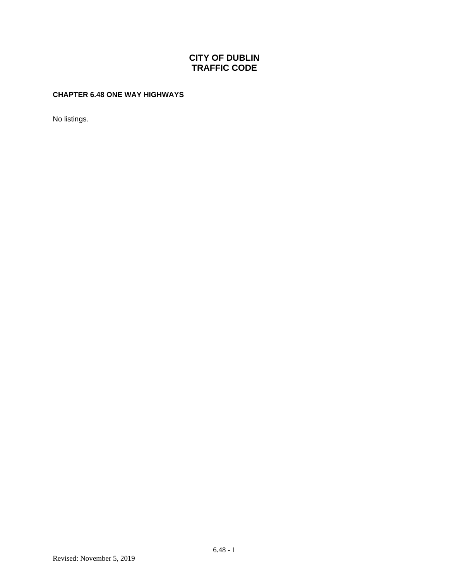# **CHAPTER 6.48 ONE WAY HIGHWAYS**

No listings.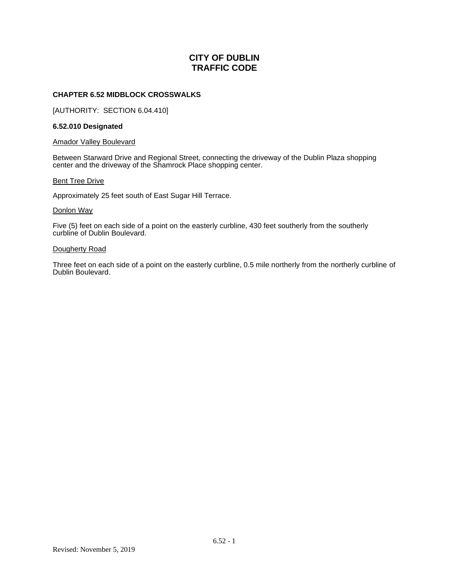# **CHAPTER 6.52 MIDBLOCK CROSSWALKS**

[AUTHORITY: SECTION 6.04.410]

# **6.52.010 Designated**

# Amador Valley Boulevard

Between Starward Drive and Regional Street, connecting the driveway of the Dublin Plaza shopping center and the driveway of the Shamrock Place shopping center.

# **Bent Tree Drive**

Approximately 25 feet south of East Sugar Hill Terrace.

# Donlon Way

Five (5) feet on each side of a point on the easterly curbline, 430 feet southerly from the southerly curbline of Dublin Boulevard.

# Dougherty Road

Three feet on each side of a point on the easterly curbline, 0.5 mile northerly from the northerly curbline of Dublin Boulevard.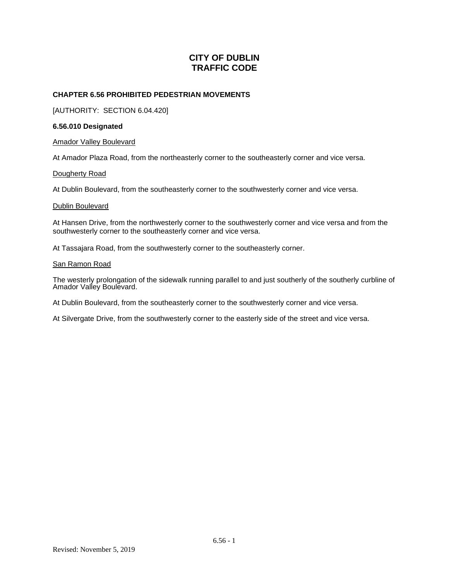# **CHAPTER 6.56 PROHIBITED PEDESTRIAN MOVEMENTS**

[AUTHORITY: SECTION 6.04.420]

# **6.56.010 Designated**

# Amador Valley Boulevard

At Amador Plaza Road, from the northeasterly corner to the southeasterly corner and vice versa.

# Dougherty Road

At Dublin Boulevard, from the southeasterly corner to the southwesterly corner and vice versa.

# Dublin Boulevard

At Hansen Drive, from the northwesterly corner to the southwesterly corner and vice versa and from the southwesterly corner to the southeasterly corner and vice versa.

At Tassajara Road, from the southwesterly corner to the southeasterly corner.

# San Ramon Road

The westerly prolongation of the sidewalk running parallel to and just southerly of the southerly curbline of Amador Valley Boulevard.

At Dublin Boulevard, from the southeasterly corner to the southwesterly corner and vice versa.

At Silvergate Drive, from the southwesterly corner to the easterly side of the street and vice versa.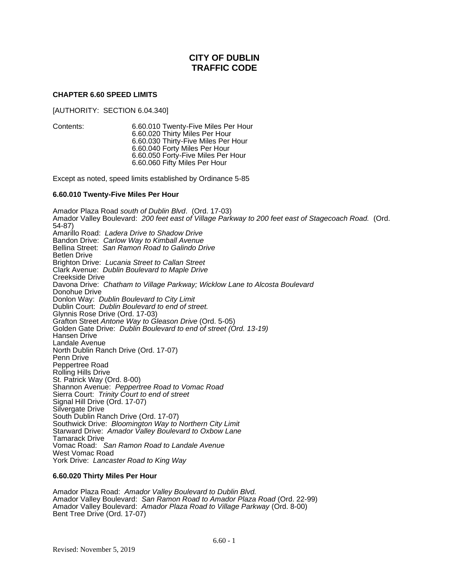# **CHAPTER 6.60 SPEED LIMITS**

[AUTHORITY: SECTION 6.04.340]

Contents: 6.60.010 Twenty-Five Miles Per Hour 6.60.020 Thirty Miles Per Hour 6.60.030 Thirty-Five Miles Per Hour 6.60.040 Forty Miles Per Hour 6.60.050 Forty-Five Miles Per Hour 6.60.060 Fifty Miles Per Hour

Except as noted, speed limits established by Ordinance 5-85

# **6.60.010 Twenty-Five Miles Per Hour**

Amador Plaza Road *south of Dublin Blvd*. (Ord. 17-03) Amador Valley Boulevard: *200 feet east of Village Parkway to 200 feet east of Stagecoach Road.* (Ord. 54-87) Amarillo Road: *Ladera Drive to Shadow Drive* Bandon Drive: *Carlow Way to Kimball Avenue* Bellina Street: *San Ramon Road to Galindo Drive* Betlen Drive Brighton Drive: *Lucania Street to Callan Street* Clark Avenue: *Dublin Boulevard to Maple Drive* Creekside Drive Davona Drive: *Chatham to Village Parkway; Wicklow Lane to Alcosta Boulevard* Donohue Drive Donlon Way: *Dublin Boulevard to City Limit* Dublin Court: *Dublin Boulevard to end of street.* Glynnis Rose Drive (Ord. 17-03) Grafton Street *Antone Way to Gleason Drive* (Ord. 5-05) Golden Gate Drive: *Dublin Boulevard to end of street (Ord. 13-19)* Hansen Drive Landale Avenue North Dublin Ranch Drive (Ord. 17-07) Penn Drive Peppertree Road Rolling Hills Drive St. Patrick Way (Ord. 8-00) Shannon Avenue: *Peppertree Road to Vomac Road* Sierra Court: *Trinity Court to end of street* Signal Hill Drive (Ord. 17-07) Silvergate Drive South Dublin Ranch Drive (Ord. 17-07) Southwick Drive: *Bloomington Way to Northern City Limit* Starward Drive: *Amador Valley Boulevard to Oxbow Lane* Tamarack Drive Vomac Road: *San Ramon Road to Landale Avenue* West Vomac Road York Drive: *Lancaster Road to King Way*

# **6.60.020 Thirty Miles Per Hour**

Amador Plaza Road: *Amador Valley Boulevard to Dublin Blvd.* Amador Valley Boulevard: *San Ramon Road to Amador Plaza Road* (Ord. 22-99) Amador Valley Boulevard: *Amador Plaza Road to Village Parkway* (Ord. 8-00) Bent Tree Drive (Ord. 17-07)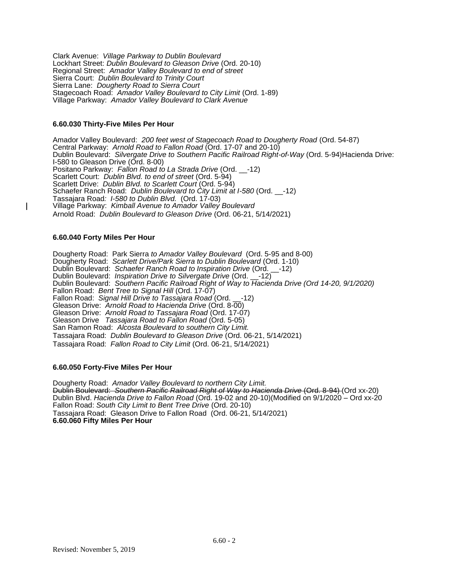Clark Avenue: *Village Parkway to Dublin Boulevard* Lockhart Street: *Dublin Boulevard to Gleason Drive* (Ord. 20-10) Regional Street: *Amador Valley Boulevard to end of street* Sierra Court: *Dublin Boulevard to Trinity Court* Sierra Lane: *Dougherty Road to Sierra Court* Stagecoach Road: *Amador Valley Boulevard to City Limit* (Ord. 1-89) Village Parkway: *Amador Valley Boulevard to Clark Avenue*

# **6.60.030 Thirty-Five Miles Per Hour**

Amador Valley Boulevard: *200 feet west of Stagecoach Road to Dougherty Road* (Ord. 54-87) Central Parkway: *Arnold Road to Fallon Road* (Ord. 17-07 and 20-10) Dublin Boulevard: *Silvergate Drive to Southern Pacific Railroad Right-of-Way* (Ord. 5-94)Hacienda Drive: I-580 to Gleason Drive (Ord. 8-00) Positano Parkway: *Fallon Road to La Strada Drive* (Ord. \_\_-12) Scarlett Court: *Dublin Blvd. to end of street* (Ord. 5-94) Scarlett Drive: *Dublin Blvd. to Scarlett Court* (Ord. 5-94) Schaefer Ranch Road: *Dublin Boulevard to City Limit at I-580* (Ord. \_\_-12) Tassajara Road*: I-580 to Dublin Blvd.* (Ord. 17-03) Village Parkway: *Kimball Avenue to Amador Valley Boulevard* Arnold Road: *Dublin Boulevard to Gleason Drive* (Ord. 06-21, 5/14/2021)

# **6.60.040 Forty Miles Per Hour**

Dougherty Road: Park Sierra *to Amador Valley Boulevard* (Ord. 5-95 and 8-00) Dougherty Road: *Scarlett Drive/Park Sierra to Dublin Boulevard* (Ord. 1-10) Dublin Boulevard: *Schaefer Ranch Road to Inspiration Drive* (Ord. \_\_-12) Dublin Boulevard: *Inspiration Drive to Silvergate Drive* (Ord. \_\_-12) Dublin Boulevard: *Southern Pacific Railroad Right of Way to Hacienda Drive (Ord 14-20, 9/1/2020)* Fallon Road: *Bent Tree to Signal Hill* (Ord. 17-07) Fallon Road: *Signal Hill Drive to Tassajara Road* (Ord. \_\_-12) Gleason Drive: *Arnold Road to Hacienda Drive* (Ord. 8-00) Gleason Drive: *Arnold Road to Tassajara Road* (Ord. 17-07) Gleason Drive *Tassajara Road to Fallon Road* (Ord. 5-05) San Ramon Road: *Alcosta Boulevard to southern City Limit.* Tassajara Road: *Dublin Boulevard to Gleason Drive* (Ord. 06-21, 5/14/2021) Tassajara Road: *Fallon Road to City Limit* (Ord. 06-21, 5/14/2021)

# **6.60.050 Forty-Five Miles Per Hour**

Dougherty Road: *Amador Valley Boulevard to northern City Limit.* Dublin Boulevard: *Southern Pacific Railroad Right of Way to Hacienda Drive* (Ord. 8-94) (Ord xx-20) Dublin Blvd. *Hacienda Drive to Fallon Road* (Ord. 19-02 and 20-10)(Modified on 9/1/2020 – Ord xx-20 Fallon Road: *South City Limit to Bent Tree Drive* (Ord. 20-10) Tassajara Road: Gleason Drive to Fallon Road (Ord. 06-21, 5/14/2021) **6.60.060 Fifty Miles Per Hour**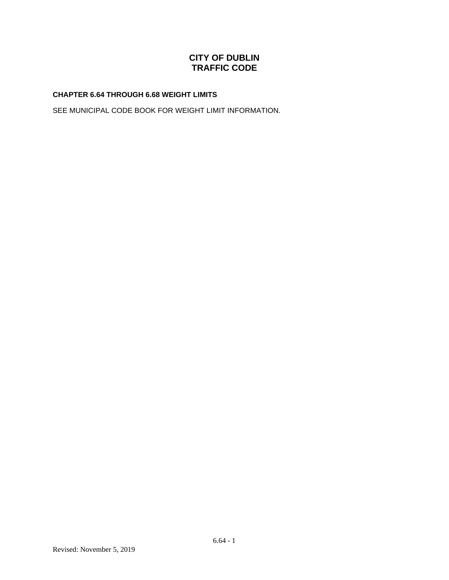# **CHAPTER 6.64 THROUGH 6.68 WEIGHT LIMITS**

SEE MUNICIPAL CODE BOOK FOR WEIGHT LIMIT INFORMATION.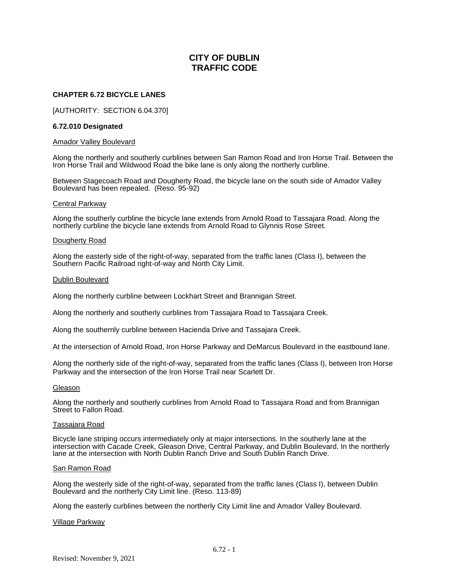# **CHAPTER 6.72 BICYCLE LANES**

[AUTHORITY: SECTION 6.04.370]

# **6.72.010 Designated**

#### Amador Valley Boulevard

Along the northerly and southerly curblines between San Ramon Road and Iron Horse Trail. Between the Iron Horse Trail and Wildwood Road the bike lane is only along the northerly curbline.

Between Stagecoach Road and Dougherty Road, the bicycle lane on the south side of Amador Valley Boulevard has been repealed. (Reso. 95-92)

#### Central Parkway

Along the southerly curbline the bicycle lane extends from Arnold Road to Tassajara Road. Along the northerly curbline the bicycle lane extends from Arnold Road to Glynnis Rose Street.

#### Dougherty Road

Along the easterly side of the right-of-way, separated from the traffic lanes (Class I), between the Southern Pacific Railroad right-of-way and North City Limit.

#### Dublin Boulevard

Along the northerly curbline between Lockhart Street and Brannigan Street.

Along the northerly and southerly curblines from Tassajara Road to Tassajara Creek.

Along the southernly curbline between Hacienda Drive and Tassajara Creek.

At the intersection of Arnold Road, Iron Horse Parkway and DeMarcus Boulevard in the eastbound lane.

Along the northerly side of the right-of-way, separated from the traffic lanes (Class I), between Iron Horse Parkway and the intersection of the Iron Horse Trail near Scarlett Dr.

#### Gleason

Along the northerly and southerly curblines from Arnold Road to Tassajara Road and from Brannigan Street to Fallon Road.

# Tassajara Road

Bicycle lane striping occurs intermediately only at major intersections. In the southerly lane at the intersection with Cacade Creek, Gleason Drive, Central Parkway, and Dublin Boulevard. In the northerly lane at the intersection with North Dublin Ranch Drive and South Dublin Ranch Drive.

# San Ramon Road

Along the westerly side of the right-of-way, separated from the traffic lanes (Class I), between Dublin Boulevard and the northerly City Limit line. (Reso. 113-89)

Along the easterly curblines between the northerly City Limit line and Amador Valley Boulevard.

# Village Parkway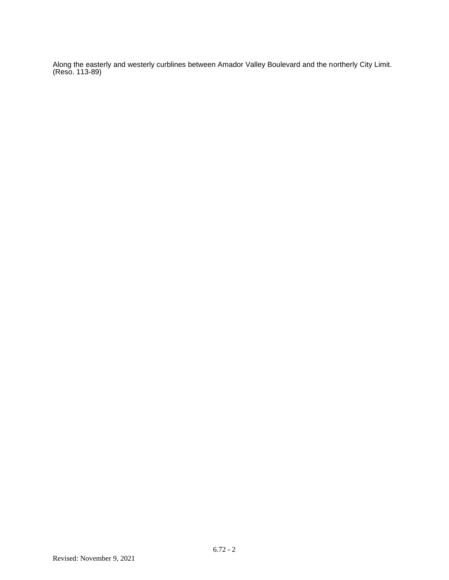Along the easterly and westerly curblines between Amador Valley Boulevard and the northerly City Limit. (Reso. 113-89)